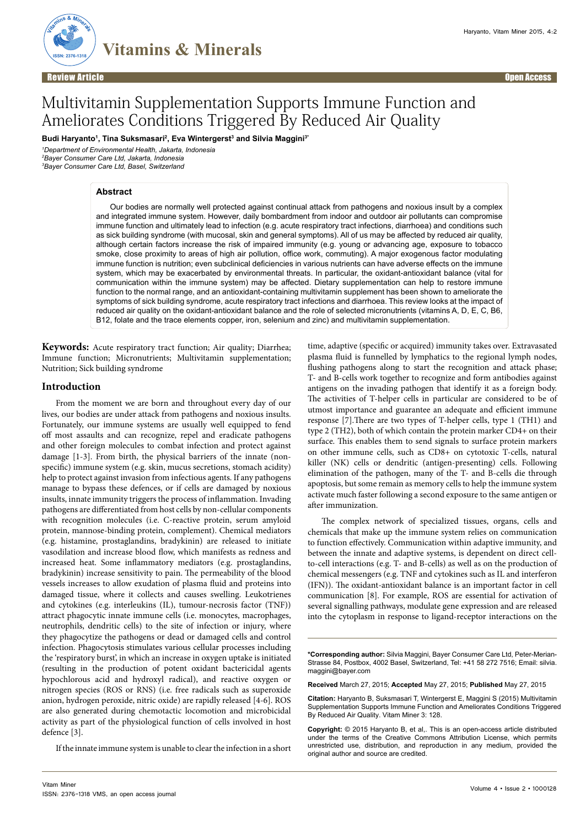

# Multivitamin Supplementation Supports Immune Function and Ameliorates Conditions Triggered By Reduced Air Quality

**Budi Haryanto1 , Tina Suksmasari2 , Eva Wintergerst3 and Silvia Maggini3\***

*1 Department of Environmental Health, Jakarta, Indonesia 2 Bayer Consumer Care Ltd, Jakarta, Indonesia 3 Bayer Consumer Care Ltd, Basel, Switzerland* 

#### **Abstract**

Our bodies are normally well protected against continual attack from pathogens and noxious insult by a complex and integrated immune system. However, daily bombardment from indoor and outdoor air pollutants can compromise immune function and ultimately lead to infection (e.g. acute respiratory tract infections, diarrhoea) and conditions such as sick building syndrome (with mucosal, skin and general symptoms). All of us may be affected by reduced air quality, although certain factors increase the risk of impaired immunity (e.g. young or advancing age, exposure to tobacco smoke, close proximity to areas of high air pollution, office work, commuting). A major exogenous factor modulating immune function is nutrition; even subclinical deficiencies in various nutrients can have adverse effects on the immune system, which may be exacerbated by environmental threats. In particular, the oxidant-antioxidant balance (vital for communication within the immune system) may be affected. Dietary supplementation can help to restore immune function to the normal range, and an antioxidant-containing multivitamin supplement has been shown to ameliorate the symptoms of sick building syndrome, acute respiratory tract infections and diarrhoea. This review looks at the impact of reduced air quality on the oxidant-antioxidant balance and the role of selected micronutrients (vitamins A, D, E, C, B6, B12, folate and the trace elements copper, iron, selenium and zinc) and multivitamin supplementation.

**Keywords:** Acute respiratory tract function; Air quality; Diarrhea; Immune function; Micronutrients; Multivitamin supplementation; Nutrition; Sick building syndrome

#### **Introduction**

From the moment we are born and throughout every day of our lives, our bodies are under attack from pathogens and noxious insults. Fortunately, our immune systems are usually well equipped to fend off most assaults and can recognize, repel and eradicate pathogens and other foreign molecules to combat infection and protect against damage [1-3]. From birth, the physical barriers of the innate (nonspecific) immune system (e.g. skin, mucus secretions, stomach acidity) help to protect against invasion from infectious agents. If any pathogens manage to bypass these defences, or if cells are damaged by noxious insults, innate immunity triggers the process of inflammation. Invading pathogens are differentiated from host cells by non-cellular components with recognition molecules (i.e. C-reactive protein, serum amyloid protein, mannose-binding protein, complement). Chemical mediators (e.g. histamine, prostaglandins, bradykinin) are released to initiate vasodilation and increase blood flow, which manifests as redness and increased heat. Some inflammatory mediators (e.g. prostaglandins, bradykinin) increase sensitivity to pain. The permeability of the blood vessels increases to allow exudation of plasma fluid and proteins into damaged tissue, where it collects and causes swelling. Leukotrienes and cytokines (e.g. interleukins (IL), tumour-necrosis factor (TNF)) attract phagocytic innate immune cells (i.e. monocytes, macrophages, neutrophils, dendritic cells) to the site of infection or injury, where they phagocytize the pathogens or dead or damaged cells and control infection. Phagocytosis stimulates various cellular processes including the 'respiratory burst', in which an increase in oxygen uptake is initiated (resulting in the production of potent oxidant bactericidal agents hypochlorous acid and hydroxyl radical), and reactive oxygen or nitrogen species (ROS or RNS) (i.e. free radicals such as superoxide anion, hydrogen peroxide, nitric oxide) are rapidly released [4-6]. ROS are also generated during chemotactic locomotion and microbicidal activity as part of the physiological function of cells involved in host defence [3].

If the innate immune system is unable to clear the infection in a short

time, adaptive (specific or acquired) immunity takes over. Extravasated plasma fluid is funnelled by lymphatics to the regional lymph nodes, flushing pathogens along to start the recognition and attack phase; T- and B-cells work together to recognize and form antibodies against antigens on the invading pathogen that identify it as a foreign body. The activities of T-helper cells in particular are considered to be of utmost importance and guarantee an adequate and efficient immune response [7].There are two types of T-helper cells, type 1 (TH1) and type 2 (TH2), both of which contain the protein marker CD4+ on their surface. This enables them to send signals to surface protein markers on other immune cells, such as CD8+ on cytotoxic T-cells, natural killer (NK) cells or dendritic (antigen-presenting) cells. Following elimination of the pathogen, many of the T- and B-cells die through apoptosis, but some remain as memory cells to help the immune system activate much faster following a second exposure to the same antigen or after immunization.

The complex network of specialized tissues, organs, cells and chemicals that make up the immune system relies on communication to function effectively. Communication within adaptive immunity, and between the innate and adaptive systems, is dependent on direct cellto-cell interactions (e.g. T- and B-cells) as well as on the production of chemical messengers (e.g. TNF and cytokines such as IL and interferon (IFN)). The oxidant-antioxidant balance is an important factor in cell communication [8]. For example, ROS are essential for activation of several signalling pathways, modulate gene expression and are released into the cytoplasm in response to ligand-receptor interactions on the

**\*Corresponding author:** Silvia Maggini, Bayer Consumer Care Ltd, Peter-Merian-Strasse 84, Postbox, 4002 Basel, Switzerland, Tel: +41 58 272 7516; Email: silvia. maggini@bayer.com

**Received** March 27, 2015; **Accepted** May 27, 2015; **Published** May 27, 2015

**Citation:** Haryanto B, Suksmasari T, Wintergerst E, Maggini S (2015) Multivitamin Supplementation Supports Immune Function and Ameliorates Conditions Triggered By Reduced Air Quality. Vitam Miner 3: 128.

**Copyright:** © 2015 Haryanto B, et al,. This is an open-access article distributed under the terms of the Creative Commons Attribution License, which permits unrestricted use, distribution, and reproduction in any medium, provided the original author and source are credited.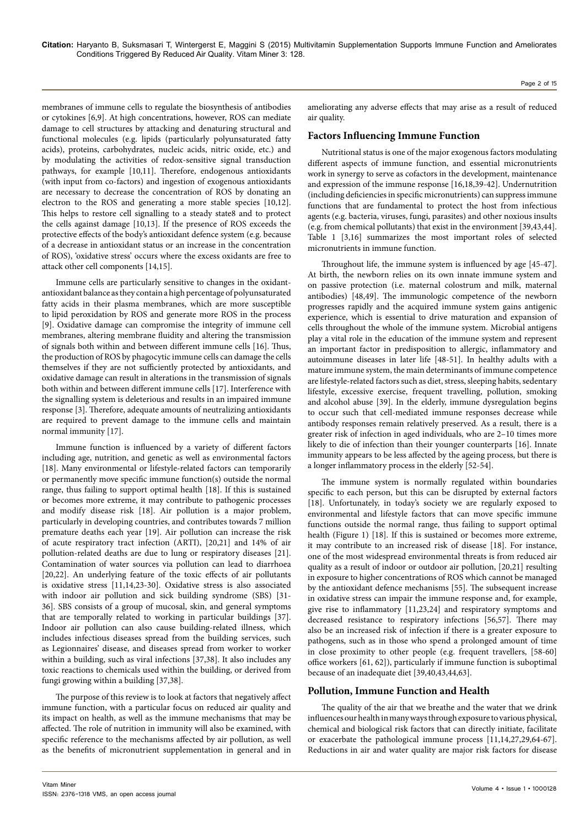membranes of immune cells to regulate the biosynthesis of antibodies or cytokines [6,9]. At high concentrations, however, ROS can mediate damage to cell structures by attacking and denaturing structural and functional molecules (e.g. lipids (particularly polyunsaturated fatty acids), proteins, carbohydrates, nucleic acids, nitric oxide, etc.) and by modulating the activities of redox-sensitive signal transduction pathways, for example [10,11]. Therefore, endogenous antioxidants (with input from co-factors) and ingestion of exogenous antioxidants are necessary to decrease the concentration of ROS by donating an electron to the ROS and generating a more stable species [10,12]. This helps to restore cell signalling to a steady state8 and to protect the cells against damage [10,13]. If the presence of ROS exceeds the protective effects of the body's antioxidant defence system (e.g. because of a decrease in antioxidant status or an increase in the concentration of ROS), 'oxidative stress' occurs where the excess oxidants are free to attack other cell components [14,15].

Immune cells are particularly sensitive to changes in the oxidantantioxidant balance as they contain a high percentage of polyunsaturated fatty acids in their plasma membranes, which are more susceptible to lipid peroxidation by ROS and generate more ROS in the process [9]. Oxidative damage can compromise the integrity of immune cell membranes, altering membrane fluidity and altering the transmission of signals both within and between different immune cells [16]. Thus, the production of ROS by phagocytic immune cells can damage the cells themselves if they are not sufficiently protected by antioxidants, and oxidative damage can result in alterations in the transmission of signals both within and between different immune cells [17]. Interference with the signalling system is deleterious and results in an impaired immune response [3]. Therefore, adequate amounts of neutralizing antioxidants are required to prevent damage to the immune cells and maintain normal immunity [17].

Immune function is influenced by a variety of different factors including age, nutrition, and genetic as well as environmental factors [18]. Many environmental or lifestyle-related factors can temporarily or permanently move specific immune function(s) outside the normal range, thus failing to support optimal health [18]. If this is sustained or becomes more extreme, it may contribute to pathogenic processes and modify disease risk [18]. Air pollution is a major problem, particularly in developing countries, and contributes towards 7 million premature deaths each year [19]. Air pollution can increase the risk of acute respiratory tract infection (ARTI), [20,21] and 14% of air pollution-related deaths are due to lung or respiratory diseases [21]. Contamination of water sources via pollution can lead to diarrhoea [20,22]. An underlying feature of the toxic effects of air pollutants is oxidative stress [11,14,23-30]. Oxidative stress is also associated with indoor air pollution and sick building syndrome (SBS) [31- 36]. SBS consists of a group of mucosal, skin, and general symptoms that are temporally related to working in particular buildings [37]. Indoor air pollution can also cause building-related illness, which includes infectious diseases spread from the building services, such as Legionnaires' disease, and diseases spread from worker to worker within a building, such as viral infections [37,38]. It also includes any toxic reactions to chemicals used within the building, or derived from fungi growing within a building [37,38].

The purpose of this review is to look at factors that negatively affect immune function, with a particular focus on reduced air quality and its impact on health, as well as the immune mechanisms that may be affected. The role of nutrition in immunity will also be examined, with specific reference to the mechanisms affected by air pollution, as well as the benefits of micronutrient supplementation in general and in

## **Factors Influencing Immune Function**

Nutritional status is one of the major exogenous factors modulating different aspects of immune function, and essential micronutrients work in synergy to serve as cofactors in the development, maintenance and expression of the immune response [16,18,39-42]. Undernutrition (including deficiencies in specific micronutrients) can suppress immune functions that are fundamental to protect the host from infectious agents (e.g. bacteria, viruses, fungi, parasites) and other noxious insults (e.g. from chemical pollutants) that exist in the environment [39,43,44]. Table 1 [3,16] summarizes the most important roles of selected micronutrients in immune function.

Throughout life, the immune system is influenced by age [45-47]. At birth, the newborn relies on its own innate immune system and on passive protection (i.e. maternal colostrum and milk, maternal antibodies) [48,49]. The immunologic competence of the newborn progresses rapidly and the acquired immune system gains antigenic experience, which is essential to drive maturation and expansion of cells throughout the whole of the immune system. Microbial antigens play a vital role in the education of the immune system and represent an important factor in predisposition to allergic, inflammatory and autoimmune diseases in later life [48-51]. In healthy adults with a mature immune system, the main determinants of immune competence are lifestyle-related factors such as diet, stress, sleeping habits, sedentary lifestyle, excessive exercise, frequent travelling, pollution, smoking and alcohol abuse [39]. In the elderly, immune dysregulation begins to occur such that cell-mediated immune responses decrease while antibody responses remain relatively preserved. As a result, there is a greater risk of infection in aged individuals, who are 2–10 times more likely to die of infection than their younger counterparts [16]. Innate immunity appears to be less affected by the ageing process, but there is a longer inflammatory process in the elderly [52-54].

The immune system is normally regulated within boundaries specific to each person, but this can be disrupted by external factors [18]. Unfortunately, in today's society we are regularly exposed to environmental and lifestyle factors that can move specific immune functions outside the normal range, thus failing to support optimal health (Figure 1) [18]. If this is sustained or becomes more extreme, it may contribute to an increased risk of disease [18]. For instance, one of the most widespread environmental threats is from reduced air quality as a result of indoor or outdoor air pollution, [20,21] resulting in exposure to higher concentrations of ROS which cannot be managed by the antioxidant defence mechanisms [55]. The subsequent increase in oxidative stress can impair the immune response and, for example, give rise to inflammatory [11,23,24] and respiratory symptoms and decreased resistance to respiratory infections [56,57]. There may also be an increased risk of infection if there is a greater exposure to pathogens, such as in those who spend a prolonged amount of time in close proximity to other people (e.g. frequent travellers, [58-60] office workers [61, 62]), particularly if immune function is suboptimal because of an inadequate diet [39,40,43,44,63].

## **Pollution, Immune Function and Health**

The quality of the air that we breathe and the water that we drink influences our health in many ways through exposure to various physical, chemical and biological risk factors that can directly initiate, facilitate or exacerbate the pathological immune process [11,14,27,29,64-67]. Reductions in air and water quality are major risk factors for disease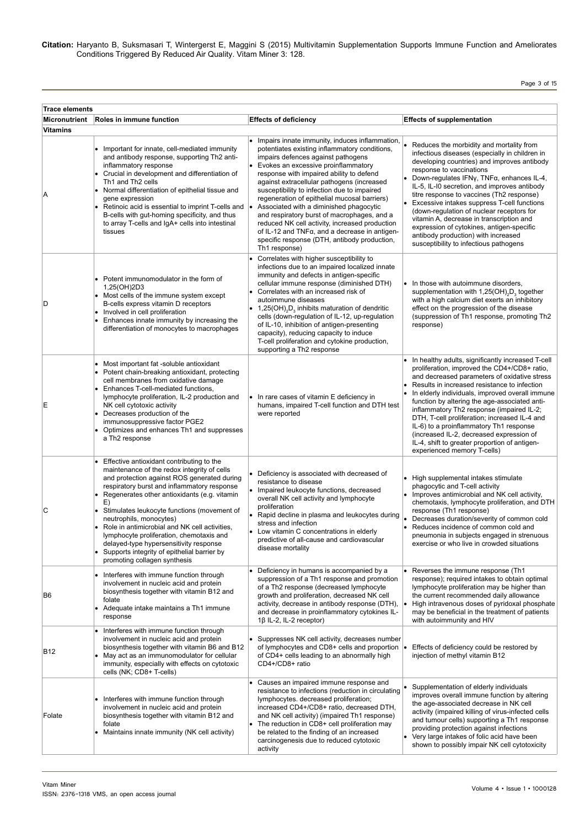Page 3 of 15

| <b>Trace elements</b><br>Micronutrient | Roles in immune function                                                                                                                                                                                                                                                                                                                                                                                                                                                                                                                               | <b>Effects of deficiency</b>                                                                                                                                                                                                                                                                                                                                                                                                                                                                                                                                                                                                                 | <b>Effects of supplementation</b>                                                                                                                                                                                                                                                                                                                                                                                                                                                                                                                                                                 |
|----------------------------------------|--------------------------------------------------------------------------------------------------------------------------------------------------------------------------------------------------------------------------------------------------------------------------------------------------------------------------------------------------------------------------------------------------------------------------------------------------------------------------------------------------------------------------------------------------------|----------------------------------------------------------------------------------------------------------------------------------------------------------------------------------------------------------------------------------------------------------------------------------------------------------------------------------------------------------------------------------------------------------------------------------------------------------------------------------------------------------------------------------------------------------------------------------------------------------------------------------------------|---------------------------------------------------------------------------------------------------------------------------------------------------------------------------------------------------------------------------------------------------------------------------------------------------------------------------------------------------------------------------------------------------------------------------------------------------------------------------------------------------------------------------------------------------------------------------------------------------|
| Vitamins                               |                                                                                                                                                                                                                                                                                                                                                                                                                                                                                                                                                        |                                                                                                                                                                                                                                                                                                                                                                                                                                                                                                                                                                                                                                              |                                                                                                                                                                                                                                                                                                                                                                                                                                                                                                                                                                                                   |
| Α                                      | • Important for innate, cell-mediated immunity<br>and antibody response, supporting Th2 anti-<br>inflammatory response<br>• Crucial in development and differentiation of<br>Th1 and Th2 cells<br>• Normal differentiation of epithelial tissue and<br>gene expression<br>Retinoic acid is essential to imprint T-cells and<br>B-cells with gut-homing specificity, and thus<br>to array T-cells and IgA+ cells into intestinal<br>tissues                                                                                                             | Impairs innate immunity, induces inflammation,<br>potentiates existing inflammatory conditions,<br>impairs defences against pathogens<br>Evokes an excessive proinflammatory<br>response with impaired ability to defend<br>against extracellular pathogens (increased<br>susceptibility to infection due to impaired<br>regeneration of epithelial mucosal barriers)<br>Associated with a diminished phagocytic<br>and respiratory burst of macrophages, and a<br>reduced NK cell activity, increased production<br>of IL-12 and TNF $\alpha$ , and a decrease in antigen-<br>specific response (DTH, antibody production,<br>Th1 response) | Reduces the morbidity and mortality from<br>infectious diseases (especially in children in<br>developing countries) and improves antibody<br>response to vaccinations<br>• Down-regulates IFNy, $TNF\alpha$ , enhances IL-4,<br>IL-5, IL-I0 secretion, and improves antibody<br>titre response to vaccines (Th2 response)<br>• Excessive intakes suppress T-cell functions<br>(down-regulation of nuclear receptors for<br>vitamin A, decrease in transcription and<br>expression of cytokines, antigen-specific<br>antibody production) with increased<br>susceptibility to infectious pathogens |
| D                                      | • Potent immunomodulator in the form of<br>1,25(OH)2D3<br>• Most cells of the immune system except<br>B-cells express vitamin D receptors<br>Involved in cell proliferation<br>• Enhances innate immunity by increasing the<br>differentiation of monocytes to macrophages                                                                                                                                                                                                                                                                             | Correlates with higher susceptibility to<br>infections due to an impaired localized innate<br>immunity and defects in antigen-specific<br>cellular immune response (diminished DTH)<br>Correlates with an increased risk of<br>autoimmune diseases<br>• 1,25(OH), D <sub>3</sub> inhibits maturation of dendritic<br>cells (down-regulation of IL-12, up-regulation<br>of IL-10, inhibition of antigen-presenting<br>capacity), reducing capacity to induce<br>T-cell proliferation and cytokine production,<br>supporting a Th2 response                                                                                                    | In those with autoimmune disorders,<br>supplementation with 1,25(OH) <sub>2</sub> D <sub>3</sub> together<br>with a high calcium diet exerts an inhibitory<br>effect on the progression of the disease<br>(suppression of Th1 response, promoting Th2<br>response)                                                                                                                                                                                                                                                                                                                                |
| Ε                                      | • Most important fat -soluble antioxidant<br>• Potent chain-breaking antioxidant, protecting<br>cell membranes from oxidative damage<br>• Enhances T-cell-mediated functions,<br>lymphocyte proliferation, IL-2 production and<br>NK cell cytotoxic activity<br>• Decreases production of the<br>immunosuppressive factor PGE2<br>Optimizes and enhances Th1 and suppresses<br>a Th <sub>2</sub> response                                                                                                                                              | • In rare cases of vitamin E deficiency in<br>humans, impaired T-cell function and DTH test<br>were reported                                                                                                                                                                                                                                                                                                                                                                                                                                                                                                                                 | • In healthy adults, significantly increased T-cell<br>proliferation, improved the CD4+/CD8+ ratio,<br>and decreased parameters of oxidative stress<br>Results in increased resistance to infection<br>٠<br>In elderly individuals, improved overall immune<br>function by altering the age-associated anti-<br>inflammatory Th2 response (impaired IL-2;<br>DTH, T-cell proliferation; increased IL-4 and<br>IL-6) to a proinflammatory Th1 response<br>(increased IL-2, decreased expression of<br>IL-4, shift to greater proportion of antigen-<br>experienced memory T-cells)                 |
| С                                      | • Effective antioxidant contributing to the<br>maintenance of the redox integrity of cells<br>and protection against ROS generated during<br>respiratory burst and inflammatory response<br>• Regenerates other antioxidants (e.g. vitamin<br>E)<br>• Stimulates leukocyte functions (movement of<br>neutrophils, monocytes)<br>• Role in antimicrobial and NK cell activities,<br>lymphocyte proliferation, chemotaxis and<br>delayed-type hypersensitivity response<br>• Supports integrity of epithelial barrier by<br>promoting collagen synthesis | • Deficiency is associated with decreased of<br>resistance to disease<br>• Impaired leukocyte functions, decreased<br>overall NK cell activity and lymphocyte<br>proliferation<br>• Rapid decline in plasma and leukocytes during<br>stress and infection<br>• Low vitamin C concentrations in elderly<br>predictive of all-cause and cardiovascular<br>disease mortality                                                                                                                                                                                                                                                                    | • High supplemental intakes stimulate<br>phagocytic and T-cell activity<br>Improves antimicrobial and NK cell activity,<br>٠<br>chemotaxis, lymphocyte proliferation, and DTH<br>response (Th1 response)<br>Decreases duration/severity of common cold<br>Reduces incidence of common cold and<br>pneumonia in subjects engaged in strenuous<br>exercise or who live in crowded situations                                                                                                                                                                                                        |
| B6                                     | • Interferes with immune function through<br>involvement in nucleic acid and protein<br>biosynthesis together with vitamin B12 and<br>folate<br>• Adequate intake maintains a Th1 immune<br>response                                                                                                                                                                                                                                                                                                                                                   | Deficiency in humans is accompanied by a<br>suppression of a Th1 response and promotion<br>of a Th2 response (decreased lymphocyte<br>growth and proliferation, decreased NK cell<br>activity, decrease in antibody response (DTH), $\bullet$<br>and decrease in proinflammatory cytokines IL-<br>18 IL-2, IL-2 receptor)                                                                                                                                                                                                                                                                                                                    | • Reverses the immune response (Th1<br>response); required intakes to obtain optimal<br>lymphocyte proliferation may be higher than<br>the current recommended daily allowance<br>High intravenous doses of pyridoxal phosphate<br>may be beneficial in the treatment of patients<br>with autoimmunity and HIV                                                                                                                                                                                                                                                                                    |
| B12                                    | • Interferes with immune function through<br>involvement in nucleic acid and protein<br>biosynthesis together with vitamin B6 and B12<br>• May act as an immunomodulator for cellular<br>immunity, especially with effects on cytotoxic<br>cells (NK; CD8+ T-cells)                                                                                                                                                                                                                                                                                    | Suppresses NK cell activity, decreases number<br>of lymphocytes and CD8+ cells and proportion  .<br>of CD4+ cells leading to an abnormally high<br>CD4+/CD8+ ratio                                                                                                                                                                                                                                                                                                                                                                                                                                                                           | Effects of deficiency could be restored by<br>injection of methyl vitamin B12                                                                                                                                                                                                                                                                                                                                                                                                                                                                                                                     |
| Folate                                 | • Interferes with immune function through<br>involvement in nucleic acid and protein<br>biosynthesis together with vitamin B12 and<br>folate<br>• Maintains innate immunity (NK cell activity)                                                                                                                                                                                                                                                                                                                                                         | Causes an impaired immune response and<br>$\bullet$<br>resistance to infections (reduction in circulating<br>lymphocytes. decreased proliferation;<br>increased CD4+/CD8+ ratio, decreased DTH,<br>and NK cell activity) (impaired Th1 response)<br>The reduction in CD8+ cell proliferation may<br>$\bullet$<br>be related to the finding of an increased<br>carcinogenesis due to reduced cytotoxic<br>activity                                                                                                                                                                                                                            | Supplementation of elderly individuals<br>improves overall immune function by altering<br>the age-associated decrease in NK cell<br>activity (impaired killing of virus-infected cells<br>and tumour cells) supporting a Th1 response<br>providing protection against infections<br>Very large intakes of folic acid have been<br>٠<br>shown to possibly impair NK cell cytotoxicity                                                                                                                                                                                                              |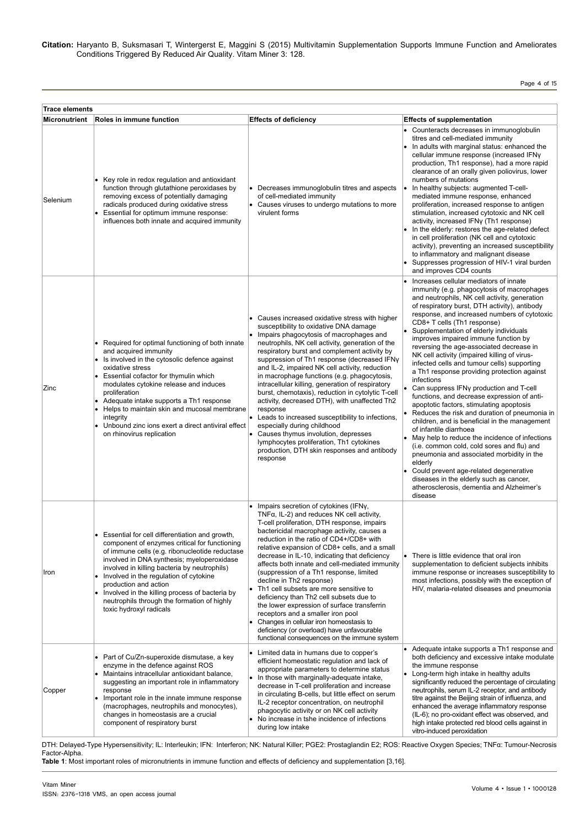Page 4 of 15

| <b>Trace elements</b> |                                                                                                                                                                                                                                                                                                                                                                                                                                                       |                                                                                                                                                                                                                                                                                                                                                                                                                                                                                                                                                                                                                                                                                                                                                                                               |                                                                                                                                                                                                                                                                                                                                                                                                                                                                                                                                                                                                                                                                                                                                                                                                                                                                                                                                                                                                                                                                                                                                                       |  |
|-----------------------|-------------------------------------------------------------------------------------------------------------------------------------------------------------------------------------------------------------------------------------------------------------------------------------------------------------------------------------------------------------------------------------------------------------------------------------------------------|-----------------------------------------------------------------------------------------------------------------------------------------------------------------------------------------------------------------------------------------------------------------------------------------------------------------------------------------------------------------------------------------------------------------------------------------------------------------------------------------------------------------------------------------------------------------------------------------------------------------------------------------------------------------------------------------------------------------------------------------------------------------------------------------------|-------------------------------------------------------------------------------------------------------------------------------------------------------------------------------------------------------------------------------------------------------------------------------------------------------------------------------------------------------------------------------------------------------------------------------------------------------------------------------------------------------------------------------------------------------------------------------------------------------------------------------------------------------------------------------------------------------------------------------------------------------------------------------------------------------------------------------------------------------------------------------------------------------------------------------------------------------------------------------------------------------------------------------------------------------------------------------------------------------------------------------------------------------|--|
| Micronutrient         | Roles in immune function                                                                                                                                                                                                                                                                                                                                                                                                                              | <b>Effects of deficiency</b>                                                                                                                                                                                                                                                                                                                                                                                                                                                                                                                                                                                                                                                                                                                                                                  | <b>Effects of supplementation</b>                                                                                                                                                                                                                                                                                                                                                                                                                                                                                                                                                                                                                                                                                                                                                                                                                                                                                                                                                                                                                                                                                                                     |  |
| Selenium              | Key role in redox regulation and antioxidant<br>function through glutathione peroxidases by<br>removing excess of potentially damaging<br>radicals produced during oxidative stress<br>Essential for optimum immune response:<br>influences both innate and acquired immunity                                                                                                                                                                         | Decreases immunoglobulin titres and aspects<br>of cell-mediated immunity<br>Causes viruses to undergo mutations to more<br>virulent forms                                                                                                                                                                                                                                                                                                                                                                                                                                                                                                                                                                                                                                                     | • Counteracts decreases in immunoglobulin<br>titres and cell-mediated immunity<br>In adults with marginal status: enhanced the<br>cellular immune response (increased IFNy<br>production, Th1 response), had a more rapid<br>clearance of an orally given poliovirus, lower<br>numbers of mutations<br>In healthy subjects: augmented T-cell-<br>۱۰<br>mediated immune response, enhanced<br>proliferation, increased response to antigen<br>stimulation, increased cytotoxic and NK cell<br>activity, increased IFNy (Th1 response)<br>In the elderly: restores the age-related defect<br>in cell proliferation (NK cell and cytotoxic<br>activity), preventing an increased susceptibility<br>to inflammatory and malignant disease<br>Suppresses progression of HIV-1 viral burden<br>and improves CD4 counts                                                                                                                                                                                                                                                                                                                                      |  |
| Zinc                  | Required for optimal functioning of both innate<br>and acquired immunity<br>• Is involved in the cytosolic defence against<br>oxidative stress<br>Essential cofactor for thymulin which<br>modulates cytokine release and induces<br>proliferation<br>Adequate intake supports a Th1 response<br>Helps to maintain skin and mucosal membrane<br>integrity<br>Unbound zinc ions exert a direct antiviral effect<br>on rhinovirus replication           | Causes increased oxidative stress with higher<br>susceptibility to oxidative DNA damage<br>Impairs phagocytosis of macrophages and<br>neutrophils, NK cell activity, generation of the<br>respiratory burst and complement activity by<br>suppression of Th1 response (decreased IFNy<br>and IL-2, impaired NK cell activity, reduction<br>in macrophage functions (e.g. phagocytosis,<br>intracellular killing, generation of respiratory<br>burst, chemotaxis), reduction in cytolytic T-cell<br>activity, decreased DTH), with unaffected Th2<br>response<br>Leads to increased susceptibility to infections,<br>especially during childhood<br>Causes thymus involution, depresses<br>lymphocytes proliferation, Th1 cytokines<br>production, DTH skin responses and antibody<br>response | • Increases cellular mediators of innate<br>immunity (e.g. phagocytosis of macrophages<br>and neutrophils, NK cell activity, generation<br>of respiratory burst, DTH activity), antibody<br>response, and increased numbers of cytotoxic<br>CD8+ T cells (Th1 response)<br>Supplementation of elderly individuals<br>$\bullet$<br>improves impaired immune function by<br>reversing the age-associated decrease in<br>NK cell activity (impaired killing of virus-<br>infected cells and tumour cells) supporting<br>a Th1 response providing protection against<br>infections<br>Can suppress IFNy production and T-cell<br>functions, and decrease expression of anti-<br>apoptotic factors, stimulating apoptosis<br>Reduces the risk and duration of pneumonia in<br>children, and is beneficial in the management<br>of infantile diarrhoea<br>May help to reduce the incidence of infections<br>(i.e. common cold, cold sores and flu) and<br>pneumonia and associated morbidity in the<br>elderly<br>Could prevent age-related degenerative<br>diseases in the elderly such as cancer,<br>atherosclerosis, dementia and Alzheimer's<br>disease |  |
| Iron                  | • Essential for cell differentiation and growth,<br>component of enzymes critical for functioning<br>of immune cells (e.g. ribonucleotide reductase<br>involved in DNA synthesis; myeloperoxidase<br>involved in killing bacteria by neutrophils)<br>Involved in the regulation of cytokine<br>production and action<br>Involved in the killing process of bacteria by<br>٠<br>neutrophils through the formation of highly<br>toxic hydroxyl radicals | Impairs secretion of cytokines (IFNy,<br>$TNFa$ , IL-2) and reduces NK cell activity,<br>T-cell proliferation, DTH response, impairs<br>bactericidal macrophage activity, causes a<br>reduction in the ratio of CD4+/CD8+ with<br>relative expansion of CD8+ cells, and a small<br>decrease in IL-10, indicating that deficiency<br>affects both innate and cell-mediated immunity<br>(suppression of a Th1 response, limited<br>decline in Th2 response)<br>Th1 cell subsets are more sensitive to<br>deficiency than Th <sub>2</sub> cell subsets due to<br>the lower expression of surface transferrin<br>receptors and a smaller iron pool<br>Changes in cellular iron homeostasis to<br>deficiency (or overload) have unfavourable<br>functional consequences on the immune system       | • There is little evidence that oral iron<br>supplementation to deficient subjects inhibits<br>immune response or increases susceptibility to<br>most infections, possibly with the exception of<br>HIV, malaria-related diseases and pneumonia                                                                                                                                                                                                                                                                                                                                                                                                                                                                                                                                                                                                                                                                                                                                                                                                                                                                                                       |  |
| Copper                | • Part of Cu/Zn-superoxide dismutase, a key<br>enzyme in the defence against ROS<br>Maintains intracellular antioxidant balance,<br>suggesting an important role in inflammatory<br>response<br>Important role in the innate immune response<br>(macrophages, neutrophils and monocytes),<br>changes in homeostasis are a crucial<br>component of respiratory burst                                                                                   | Limited data in humans due to copper's<br>efficient homeostatic regulation and lack of<br>appropriate parameters to determine status<br>• In those with marginally-adequate intake,<br>decrease in T-cell proliferation and increase<br>in circulating B-cells, but little effect on serum<br>IL-2 receptor concentration, on neutrophil<br>phagocytic activity or on NK cell activity<br>• No increase in tshe incidence of infections<br>during low intake                                                                                                                                                                                                                                                                                                                                  | • Adequate intake supports a Th1 response and<br>both deficiency and excessive intake modulate<br>the immune response<br>• Long-term high intake in healthy adults<br>significantly reduced the percentage of circulating<br>neutrophils, serum IL-2 receptor, and antibody<br>titre against the Beijing strain of influenza, and<br>enhanced the average inflammatory response<br>(IL-6); no pro-oxidant effect was observed, and<br>high intake protected red blood cells against in<br>vitro-induced peroxidation                                                                                                                                                                                                                                                                                                                                                                                                                                                                                                                                                                                                                                  |  |

DTH: Delayed-Type Hypersensitivity; IL: Interleukin; IFN: Interferon; NK: Natural Killer; PGE2: Prostaglandin E2; ROS: Reactive Oxygen Species; TNFα: Tumour-Necrosis Factor-Alpha.

**Table 1**: Most important roles of micronutrients in immune function and effects of deficiency and supplementation [3,16].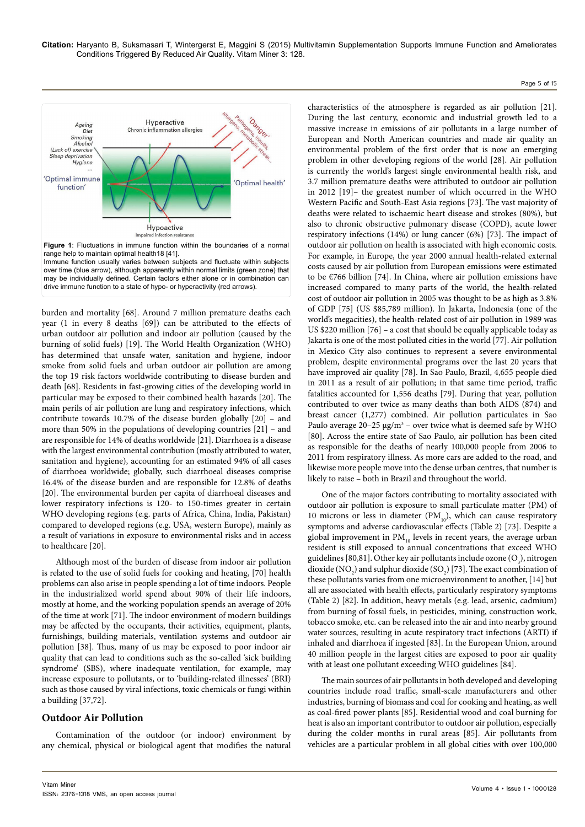



over time (blue arrow), although apparently within normal limits (green zone) that may be individually defined. Certain factors either alone or in combination can drive immune function to a state of hypo- or hyperactivity (red arrows).

burden and mortality [68]. Around 7 million premature deaths each year (1 in every 8 deaths [69]) can be attributed to the effects of urban outdoor air pollution and indoor air pollution (caused by the burning of solid fuels) [19]. The World Health Organization (WHO) has determined that unsafe water, sanitation and hygiene, indoor smoke from solid fuels and urban outdoor air pollution are among the top 19 risk factors worldwide contributing to disease burden and death [68]. Residents in fast-growing cities of the developing world in particular may be exposed to their combined health hazards [20]. The main perils of air pollution are lung and respiratory infections, which contribute towards 10.7% of the disease burden globally [20] – and more than 50% in the populations of developing countries [21] – and are responsible for 14% of deaths worldwide [21]. Diarrhoea is a disease with the largest environmental contribution (mostly attributed to water, sanitation and hygiene), accounting for an estimated 94% of all cases of diarrhoea worldwide; globally, such diarrhoeal diseases comprise 16.4% of the disease burden and are responsible for 12.8% of deaths [20]. The environmental burden per capita of diarrhoeal diseases and lower respiratory infections is 120- to 150-times greater in certain WHO developing regions (e.g. parts of Africa, China, India, Pakistan) compared to developed regions (e.g. USA, western Europe), mainly as a result of variations in exposure to environmental risks and in access to healthcare [20].

Although most of the burden of disease from indoor air pollution is related to the use of solid fuels for cooking and heating, [70] health problems can also arise in people spending a lot of time indoors. People in the industrialized world spend about 90% of their life indoors, mostly at home, and the working population spends an average of 20% of the time at work [71]. The indoor environment of modern buildings may be affected by the occupants, their activities, equipment, plants, furnishings, building materials, ventilation systems and outdoor air pollution [38]. Thus, many of us may be exposed to poor indoor air quality that can lead to conditions such as the so-called 'sick building syndrome' (SBS), where inadequate ventilation, for example, may increase exposure to pollutants, or to 'building-related illnesses' (BRI) such as those caused by viral infections, toxic chemicals or fungi within a building [37,72].

# **Outdoor Air Pollution**

Contamination of the outdoor (or indoor) environment by any chemical, physical or biological agent that modifies the natural

characteristics of the atmosphere is regarded as air pollution [21]. During the last century, economic and industrial growth led to a massive increase in emissions of air pollutants in a large number of European and North American countries and made air quality an environmental problem of the first order that is now an emerging problem in other developing regions of the world [28]. Air pollution is currently the world's largest single environmental health risk, and 3.7 million premature deaths were attributed to outdoor air pollution in 2012 [19]– the greatest number of which occurred in the WHO Western Pacific and South-East Asia regions [73]. The vast majority of deaths were related to ischaemic heart disease and strokes (80%), but also to chronic obstructive pulmonary disease (COPD), acute lower respiratory infections (14%) or lung cancer (6%) [73]. The impact of outdoor air pollution on health is associated with high economic costs. For example, in Europe, the year 2000 annual health-related external costs caused by air pollution from European emissions were estimated to be €766 billion [74]. In China, where air pollution emissions have increased compared to many parts of the world, the health-related cost of outdoor air pollution in 2005 was thought to be as high as 3.8% of GDP [75] (US \$85,789 million). In Jakarta, Indonesia (one of the world's megacities), the health-related cost of air pollution in 1989 was US \$220 million [76] – a cost that should be equally applicable today as Jakarta is one of the most polluted cities in the world [77]. Air pollution in Mexico City also continues to represent a severe environmental problem, despite environmental programs over the last 20 years that have improved air quality [78]. In Sao Paulo, Brazil, 4,655 people died in 2011 as a result of air pollution; in that same time period, traffic fatalities accounted for 1,556 deaths [79]. During that year, pollution contributed to over twice as many deaths than both AIDS (874) and breast cancer (1,277) combined. Air pollution particulates in Sao Paulo average  $20-25 \mu g/m^3$  – over twice what is deemed safe by WHO [80]. Across the entire state of Sao Paulo, air pollution has been cited as responsible for the deaths of nearly 100,000 people from 2006 to 2011 from respiratory illness. As more cars are added to the road, and likewise more people move into the dense urban centres, that number is likely to raise – both in Brazil and throughout the world.

One of the major factors contributing to mortality associated with outdoor air pollution is exposure to small particulate matter (PM) of 10 microns or less in diameter  $(PM_{10})$ , which can cause respiratory symptoms and adverse cardiovascular effects (Table 2) [73]. Despite a global improvement in  $PM_{10}$  levels in recent years, the average urban resident is still exposed to annual concentrations that exceed WHO guidelines [80,81]. Other key air pollutants include ozone  $(O_3)$ , nitrogen dioxide (NO<sub>2</sub>) and sulphur dioxide (SO<sub>2</sub>) [73]. The exact combination of these pollutants varies from one microenvironment to another, [14] but all are associated with health effects, particularly respiratory symptoms (Table 2) [82]. In addition, heavy metals (e.g. lead, arsenic, cadmium) from burning of fossil fuels, in pesticides, mining, construction work, tobacco smoke, etc. can be released into the air and into nearby ground water sources, resulting in acute respiratory tract infections (ARTI) if inhaled and diarrhoea if ingested [83]. In the European Union, around 40 million people in the largest cities are exposed to poor air quality with at least one pollutant exceeding WHO guidelines [84].

The main sources of air pollutants in both developed and developing countries include road traffic, small-scale manufacturers and other industries, burning of biomass and coal for cooking and heating, as well as coal-fired power plants [85]. Residential wood and coal burning for heat is also an important contributor to outdoor air pollution, especially during the colder months in rural areas [85]. Air pollutants from vehicles are a particular problem in all global cities with over 100,000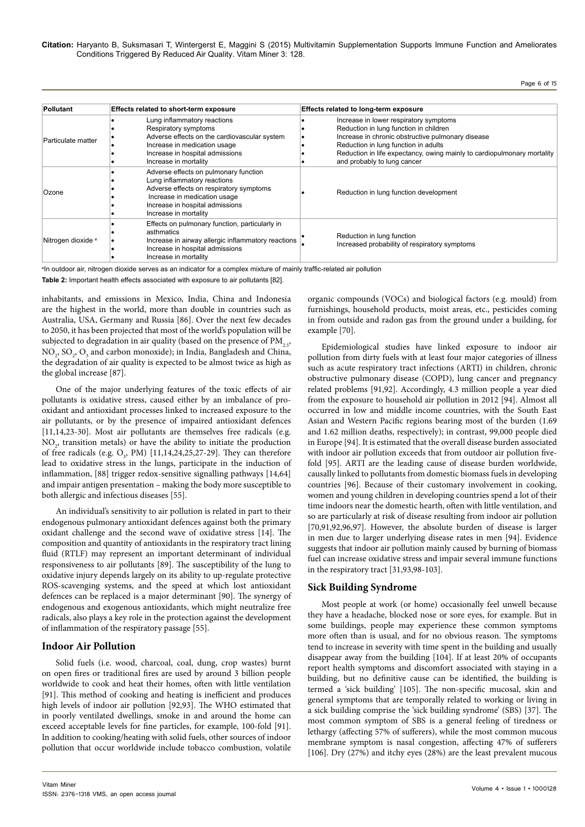| <b>Pollutant</b>              | Effects related to short-term exposure                                                                                                                                                                      | Effects related to long-term exposure                                                                                                                                                                                                                                                   |  |
|-------------------------------|-------------------------------------------------------------------------------------------------------------------------------------------------------------------------------------------------------------|-----------------------------------------------------------------------------------------------------------------------------------------------------------------------------------------------------------------------------------------------------------------------------------------|--|
| Particulate matter            | Lung inflammatory reactions<br>Respiratory symptoms<br>Adverse effects on the cardiovascular system<br>Increase in medication usage<br>Increase in hospital admissions<br>Increase in mortality             | Increase in lower respiratory symptoms<br>Reduction in lung function in children<br>Increase in chronic obstructive pulmonary disease<br>Reduction in lung function in adults<br>Reduction in life expectancy, owing mainly to cardiopulmonary mortality<br>and probably to lung cancer |  |
| Ozone                         | Adverse effects on pulmonary function<br>Lung inflammatory reactions<br>Adverse effects on respiratory symptoms<br>Increase in medication usage<br>Increase in hospital admissions<br>Increase in mortality | Reduction in lung function development                                                                                                                                                                                                                                                  |  |
| Nitrogen dioxide <sup>a</sup> | Effects on pulmonary function, particularly in<br>asthmatics<br>Increase in airway allergic inflammatory reactions<br>Increase in hospital admissions<br>Increase in mortality                              | Reduction in lung function<br>Increased probability of respiratory symptoms                                                                                                                                                                                                             |  |

a In outdoor air, nitrogen dioxide serves as an indicator for a complex mixture of mainly traffic-related air pollution

**Table 2:** Important health effects associated with exposure to air pollutants [82].

inhabitants, and emissions in Mexico, India, China and Indonesia are the highest in the world, more than double in countries such as Australia, USA, Germany and Russia [86]. Over the next few decades to 2050, it has been projected that most of the world's population will be subjected to degradation in air quality (based on the presence of  $PM_{2.5}$ ,  $NO_2$ ,  $SO_2$ ,  $O_3$  and carbon monoxide); in India, Bangladesh and China, the degradation of air quality is expected to be almost twice as high as the global increase [87].

One of the major underlying features of the toxic effects of air pollutants is oxidative stress, caused either by an imbalance of prooxidant and antioxidant processes linked to increased exposure to the air pollutants, or by the presence of impaired antioxidant defences [11,14,23-30]. Most air pollutants are themselves free radicals (e.g.  $NO<sub>2</sub>$ , transition metals) or have the ability to initiate the production of free radicals (e.g.  $O_3$ , PM) [11,14,24,25,27-29]. They can therefore lead to oxidative stress in the lungs, participate in the induction of inflammation, [88] trigger redox-sensitive signalling pathways [14,64] and impair antigen presentation – making the body more susceptible to both allergic and infectious diseases [55].

An individual's sensitivity to air pollution is related in part to their endogenous pulmonary antioxidant defences against both the primary oxidant challenge and the second wave of oxidative stress [14]. The composition and quantity of antioxidants in the respiratory tract lining fluid (RTLF) may represent an important determinant of individual responsiveness to air pollutants [89]. The susceptibility of the lung to oxidative injury depends largely on its ability to up-regulate protective ROS-scavenging systems, and the speed at which lost antioxidant defences can be replaced is a major determinant [90]. The synergy of endogenous and exogenous antioxidants, which might neutralize free radicals, also plays a key role in the protection against the development of inflammation of the respiratory passage [55].

# **Indoor Air Pollution**

Solid fuels (i.e. wood, charcoal, coal, dung, crop wastes) burnt on open fires or traditional fires are used by around 3 billion people worldwide to cook and heat their homes, often with little ventilation [91]. This method of cooking and heating is inefficient and produces high levels of indoor air pollution [92,93]. The WHO estimated that in poorly ventilated dwellings, smoke in and around the home can exceed acceptable levels for fine particles, for example, 100-fold [91]. In addition to cooking/heating with solid fuels, other sources of indoor pollution that occur worldwide include tobacco combustion, volatile

organic compounds (VOCs) and biological factors (e.g. mould) from furnishings, household products, moist areas, etc., pesticides coming in from outside and radon gas from the ground under a building, for example [70].

Epidemiological studies have linked exposure to indoor air pollution from dirty fuels with at least four major categories of illness such as acute respiratory tract infections (ARTI) in children, chronic obstructive pulmonary disease (COPD), lung cancer and pregnancy related problems [91,92]. Accordingly, 4.3 million people a year died from the exposure to household air pollution in 2012 [94]. Almost all occurred in low and middle income countries, with the South East Asian and Western Pacific regions bearing most of the burden (1.69 and 1.62 million deaths, respectively); in contrast, 99,000 people died in Europe [94]. It is estimated that the overall disease burden associated with indoor air pollution exceeds that from outdoor air pollution fivefold [95]. ARTI are the leading cause of disease burden worldwide, causally linked to pollutants from domestic biomass fuels in developing countries [96]. Because of their customary involvement in cooking, women and young children in developing countries spend a lot of their time indoors near the domestic hearth, often with little ventilation, and so are particularly at risk of disease resulting from indoor air pollution [70,91,92,96,97]. However, the absolute burden of disease is larger in men due to larger underlying disease rates in men [94]. Evidence suggests that indoor air pollution mainly caused by burning of biomass fuel can increase oxidative stress and impair several immune functions in the respiratory tract [31,93,98-103].

# **Sick Building Syndrome**

Most people at work (or home) occasionally feel unwell because they have a headache, blocked nose or sore eyes, for example. But in some buildings, people may experience these common symptoms more often than is usual, and for no obvious reason. The symptoms tend to increase in severity with time spent in the building and usually disappear away from the building [104]. If at least 20% of occupants report health symptoms and discomfort associated with staying in a building, but no definitive cause can be identified, the building is termed a 'sick building' [105]. The non-specific mucosal, skin and general symptoms that are temporally related to working or living in a sick building comprise the 'sick building syndrome' (SBS) [37]. The most common symptom of SBS is a general feeling of tiredness or lethargy (affecting 57% of sufferers), while the most common mucous membrane symptom is nasal congestion, affecting 47% of sufferers [106]. Dry (27%) and itchy eyes (28%) are the least prevalent mucous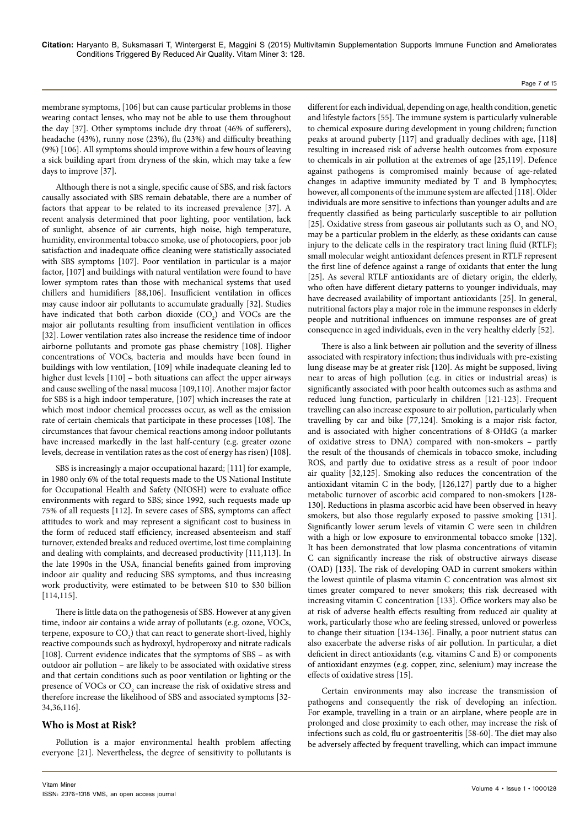membrane symptoms, [106] but can cause particular problems in those wearing contact lenses, who may not be able to use them throughout the day [37]. Other symptoms include dry throat (46% of sufferers), headache (43%), runny nose (23%), flu (23%) and difficulty breathing (9%) [106]. All symptoms should improve within a few hours of leaving a sick building apart from dryness of the skin, which may take a few days to improve [37].

Although there is not a single, specific cause of SBS, and risk factors causally associated with SBS remain debatable, there are a number of factors that appear to be related to its increased prevalence [37]. A recent analysis determined that poor lighting, poor ventilation, lack of sunlight, absence of air currents, high noise, high temperature, humidity, environmental tobacco smoke, use of photocopiers, poor job satisfaction and inadequate office cleaning were statistically associated with SBS symptoms [107]. Poor ventilation in particular is a major factor, [107] and buildings with natural ventilation were found to have lower symptom rates than those with mechanical systems that used chillers and humidifiers [88,106]. Insufficient ventilation in offices may cause indoor air pollutants to accumulate gradually [32]. Studies have indicated that both carbon dioxide  $(CO_2)$  and VOCs are the major air pollutants resulting from insufficient ventilation in offices [32]. Lower ventilation rates also increase the residence time of indoor airborne pollutants and promote gas phase chemistry [108]. Higher concentrations of VOCs, bacteria and moulds have been found in buildings with low ventilation, [109] while inadequate cleaning led to higher dust levels [110] – both situations can affect the upper airways and cause swelling of the nasal mucosa [109,110]. Another major factor for SBS is a high indoor temperature, [107] which increases the rate at which most indoor chemical processes occur, as well as the emission rate of certain chemicals that participate in these processes [108]. The circumstances that favour chemical reactions among indoor pollutants have increased markedly in the last half-century (e.g. greater ozone levels, decrease in ventilation rates as the cost of energy has risen) [108].

SBS is increasingly a major occupational hazard; [111] for example, in 1980 only 6% of the total requests made to the US National Institute for Occupational Health and Safety (NIOSH) were to evaluate office environments with regard to SBS; since 1992, such requests made up 75% of all requests [112]. In severe cases of SBS, symptoms can affect attitudes to work and may represent a significant cost to business in the form of reduced staff efficiency, increased absenteeism and staff turnover, extended breaks and reduced overtime, lost time complaining and dealing with complaints, and decreased productivity [111,113]. In the late 1990s in the USA, financial benefits gained from improving indoor air quality and reducing SBS symptoms, and thus increasing work productivity, were estimated to be between \$10 to \$30 billion [114,115].

There is little data on the pathogenesis of SBS. However at any given time, indoor air contains a wide array of pollutants (e.g. ozone, VOCs, terpene, exposure to  $\text{CO}_2$ ) that can react to generate short-lived, highly reactive compounds such as hydroxyl, hydroperoxy and nitrate radicals [108]. Current evidence indicates that the symptoms of SBS – as with outdoor air pollution – are likely to be associated with oxidative stress and that certain conditions such as poor ventilation or lighting or the presence of VOCs or  $\mathrm{CO}_2$  can increase the risk of oxidative stress and therefore increase the likelihood of SBS and associated symptoms [32- 34,36,116].

# **Who is Most at Risk?**

Pollution is a major environmental health problem affecting everyone [21]. Nevertheless, the degree of sensitivity to pollutants is

different for each individual, depending on age, health condition, genetic and lifestyle factors [55]. The immune system is particularly vulnerable to chemical exposure during development in young children; function peaks at around puberty [117] and gradually declines with age, [118] resulting in increased risk of adverse health outcomes from exposure to chemicals in air pollution at the extremes of age [25,119]. Defence against pathogens is compromised mainly because of age-related changes in adaptive immunity mediated by T and B lymphocytes; however, all components of the immune system are affected [118]. Older individuals are more sensitive to infections than younger adults and are frequently classified as being particularly susceptible to air pollution [25]. Oxidative stress from gaseous air pollutants such as  $O_3$  and  $NO_2$ may be a particular problem in the elderly, as these oxidants can cause injury to the delicate cells in the respiratory tract lining fluid (RTLF); small molecular weight antioxidant defences present in RTLF represent the first line of defence against a range of oxidants that enter the lung [25]. As several RTLF antioxidants are of dietary origin, the elderly, who often have different dietary patterns to younger individuals, may have decreased availability of important antioxidants [25]. In general, nutritional factors play a major role in the immune responses in elderly people and nutritional influences on immune responses are of great consequence in aged individuals, even in the very healthy elderly [52].

Page 7 of 15

There is also a link between air pollution and the severity of illness associated with respiratory infection; thus individuals with pre-existing lung disease may be at greater risk [120]. As might be supposed, living near to areas of high pollution (e.g. in cities or industrial areas) is significantly associated with poor health outcomes such as asthma and reduced lung function, particularly in children [121-123]. Frequent travelling can also increase exposure to air pollution, particularly when travelling by car and bike [77,124]. Smoking is a major risk factor, and is associated with higher concentrations of 8-OHdG (a marker of oxidative stress to DNA) compared with non-smokers – partly the result of the thousands of chemicals in tobacco smoke, including ROS, and partly due to oxidative stress as a result of poor indoor air quality [32,125]. Smoking also reduces the concentration of the antioxidant vitamin C in the body, [126,127] partly due to a higher metabolic turnover of ascorbic acid compared to non-smokers [128- 130]. Reductions in plasma ascorbic acid have been observed in heavy smokers, but also those regularly exposed to passive smoking [131]. Significantly lower serum levels of vitamin C were seen in children with a high or low exposure to environmental tobacco smoke [132]. It has been demonstrated that low plasma concentrations of vitamin C can significantly increase the risk of obstructive airways disease (OAD) [133]. The risk of developing OAD in current smokers within the lowest quintile of plasma vitamin C concentration was almost six times greater compared to never smokers; this risk decreased with increasing vitamin C concentration [133]. Office workers may also be at risk of adverse health effects resulting from reduced air quality at work, particularly those who are feeling stressed, unloved or powerless to change their situation [134-136]. Finally, a poor nutrient status can also exacerbate the adverse risks of air pollution. In particular, a diet deficient in direct antioxidants (e.g. vitamins C and E) or components of antioxidant enzymes (e.g. copper, zinc, selenium) may increase the effects of oxidative stress [15].

Certain environments may also increase the transmission of pathogens and consequently the risk of developing an infection. For example, travelling in a train or an airplane, where people are in prolonged and close proximity to each other, may increase the risk of infections such as cold, flu or gastroenteritis [58-60]. The diet may also be adversely affected by frequent travelling, which can impact immune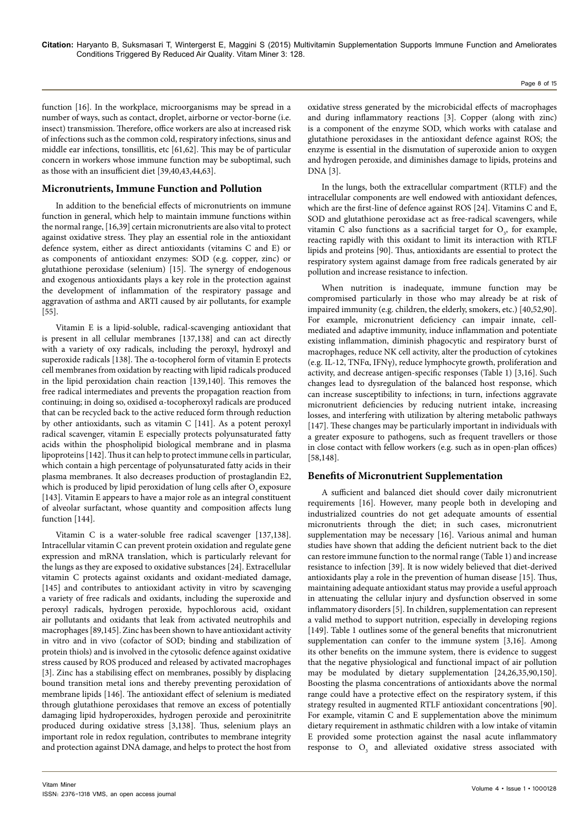function [16]. In the workplace, microorganisms may be spread in a number of ways, such as contact, droplet, airborne or vector-borne (i.e. insect) transmission. Therefore, office workers are also at increased risk of infections such as the common cold, respiratory infections, sinus and middle ear infections, tonsillitis, etc [61,62]. This may be of particular concern in workers whose immune function may be suboptimal, such as those with an insufficient diet [39,40,43,44,63].

## **Micronutrients, Immune Function and Pollution**

In addition to the beneficial effects of micronutrients on immune function in general, which help to maintain immune functions within the normal range, [16,39] certain micronutrients are also vital to protect against oxidative stress. They play an essential role in the antioxidant defence system, either as direct antioxidants (vitamins C and E) or as components of antioxidant enzymes: SOD (e.g. copper, zinc) or glutathione peroxidase (selenium) [15]. The synergy of endogenous and exogenous antioxidants plays a key role in the protection against the development of inflammation of the respiratory passage and aggravation of asthma and ARTI caused by air pollutants, for example [55].

Vitamin E is a lipid-soluble, radical-scavenging antioxidant that is present in all cellular membranes [137,138] and can act directly with a variety of oxy radicals, including the peroxyl, hydroxyl and superoxide radicals [138]. The α-tocopherol form of vitamin E protects cell membranes from oxidation by reacting with lipid radicals produced in the lipid peroxidation chain reaction [139,140]. This removes the free radical intermediates and prevents the propagation reaction from continuing; in doing so, oxidised α-tocopheroxyl radicals are produced that can be recycled back to the active reduced form through reduction by other antioxidants, such as vitamin C [141]. As a potent peroxyl radical scavenger, vitamin E especially protects polyunsaturated fatty acids within the phospholipid biological membrane and in plasma lipoproteins [142]. Thus it can help to protect immune cells in particular, which contain a high percentage of polyunsaturated fatty acids in their plasma membranes. It also decreases production of prostaglandin E2, which is produced by lipid peroxidation of lung cells after  $O_3$  exposure [143]. Vitamin E appears to have a major role as an integral constituent of alveolar surfactant, whose quantity and composition affects lung function [144].

Vitamin C is a water-soluble free radical scavenger [137,138]. Intracellular vitamin C can prevent protein oxidation and regulate gene expression and mRNA translation, which is particularly relevant for the lungs as they are exposed to oxidative substances [24]. Extracellular vitamin C protects against oxidants and oxidant-mediated damage, [145] and contributes to antioxidant activity in vitro by scavenging a variety of free radicals and oxidants, including the superoxide and peroxyl radicals, hydrogen peroxide, hypochlorous acid, oxidant air pollutants and oxidants that leak from activated neutrophils and macrophages [89,145]. Zinc has been shown to have antioxidant activity in vitro and in vivo (cofactor of SOD; binding and stabilization of protein thiols) and is involved in the cytosolic defence against oxidative stress caused by ROS produced and released by activated macrophages [3]. Zinc has a stabilising effect on membranes, possibly by displacing bound transition metal ions and thereby preventing peroxidation of membrane lipids [146]. The antioxidant effect of selenium is mediated through glutathione peroxidases that remove an excess of potentially damaging lipid hydroperoxides, hydrogen peroxide and peroxinitrite produced during oxidative stress [3,138]. Thus, selenium plays an important role in redox regulation, contributes to membrane integrity and protection against DNA damage, and helps to protect the host from

oxidative stress generated by the microbicidal effects of macrophages and during inflammatory reactions [3]. Copper (along with zinc) is a component of the enzyme SOD, which works with catalase and glutathione peroxidases in the antioxidant defence against ROS; the enzyme is essential in the dismutation of superoxide anion to oxygen and hydrogen peroxide, and diminishes damage to lipids, proteins and DNA [3].

In the lungs, both the extracellular compartment (RTLF) and the intracellular components are well endowed with antioxidant defences, which are the first-line of defence against ROS [24]. Vitamins C and E, SOD and glutathione peroxidase act as free-radical scavengers, while vitamin C also functions as a sacrificial target for  $O_3$ , for example, reacting rapidly with this oxidant to limit its interaction with RTLF lipids and proteins [90]. Thus, antioxidants are essential to protect the respiratory system against damage from free radicals generated by air pollution and increase resistance to infection.

When nutrition is inadequate, immune function may be compromised particularly in those who may already be at risk of impaired immunity (e.g. children, the elderly, smokers, etc.) [40,52,90]. For example, micronutrient deficiency can impair innate, cellmediated and adaptive immunity, induce inflammation and potentiate existing inflammation, diminish phagocytic and respiratory burst of macrophages, reduce NK cell activity, alter the production of cytokines (e.g. IL-12, TNFα, IFNγ), reduce lymphocyte growth, proliferation and activity, and decrease antigen-specific responses (Table 1) [3,16]. Such changes lead to dysregulation of the balanced host response, which can increase susceptibility to infections; in turn, infections aggravate micronutrient deficiencies by reducing nutrient intake, increasing losses, and interfering with utilization by altering metabolic pathways [147]. These changes may be particularly important in individuals with a greater exposure to pathogens, such as frequent travellers or those in close contact with fellow workers (e.g. such as in open-plan offices) [58,148].

## **Benefits of Micronutrient Supplementation**

A sufficient and balanced diet should cover daily micronutrient requirements [16]. However, many people both in developing and industrialized countries do not get adequate amounts of essential micronutrients through the diet; in such cases, micronutrient supplementation may be necessary [16]. Various animal and human studies have shown that adding the deficient nutrient back to the diet can restore immune function to the normal range (Table 1) and increase resistance to infection [39]. It is now widely believed that diet-derived antioxidants play a role in the prevention of human disease [15]. Thus, maintaining adequate antioxidant status may provide a useful approach in attenuating the cellular injury and dysfunction observed in some inflammatory disorders [5]. In children, supplementation can represent a valid method to support nutrition, especially in developing regions [149]. Table 1 outlines some of the general benefits that micronutrient supplementation can confer to the immune system [3,16]. Among its other benefits on the immune system, there is evidence to suggest that the negative physiological and functional impact of air pollution may be modulated by dietary supplementation [24,26,35,90,150]. Boosting the plasma concentrations of antioxidants above the normal range could have a protective effect on the respiratory system, if this strategy resulted in augmented RTLF antioxidant concentrations [90]. For example, vitamin C and E supplementation above the minimum dietary requirement in asthmatic children with a low intake of vitamin E provided some protection against the nasal acute inflammatory response to  $O_3$  and alleviated oxidative stress associated with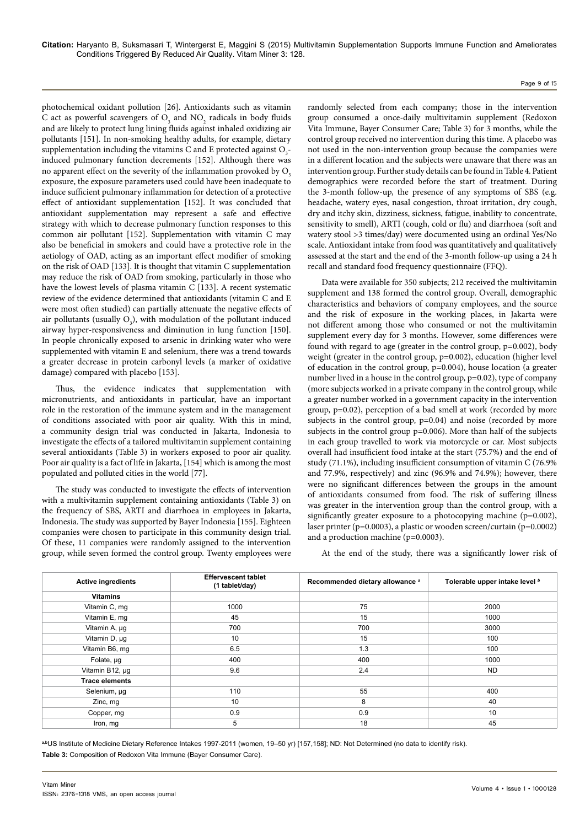photochemical oxidant pollution [26]. Antioxidants such as vitamin C act as powerful scavengers of  $O_3$  and  $NO_2$  radicals in body fluids and are likely to protect lung lining fluids against inhaled oxidizing air pollutants [151]. In non-smoking healthy adults, for example, dietary supplementation including the vitamins C and E protected against  $O_3$ induced pulmonary function decrements [152]. Although there was no apparent effect on the severity of the inflammation provoked by  $O<sub>3</sub>$ exposure, the exposure parameters used could have been inadequate to induce sufficient pulmonary inflammation for detection of a protective effect of antioxidant supplementation [152]. It was concluded that antioxidant supplementation may represent a safe and effective strategy with which to decrease pulmonary function responses to this common air pollutant [152]. Supplementation with vitamin C may also be beneficial in smokers and could have a protective role in the aetiology of OAD, acting as an important effect modifier of smoking on the risk of OAD [133]. It is thought that vitamin C supplementation may reduce the risk of OAD from smoking, particularly in those who have the lowest levels of plasma vitamin C [133]. A recent systematic review of the evidence determined that antioxidants (vitamin C and E were most often studied) can partially attenuate the negative effects of air pollutants (usually  $O_3$ ), with modulation of the pollutant-induced airway hyper-responsiveness and diminution in lung function [150]. In people chronically exposed to arsenic in drinking water who were supplemented with vitamin E and selenium, there was a trend towards a greater decrease in protein carbonyl levels (a marker of oxidative damage) compared with placebo [153].

Thus, the evidence indicates that supplementation with micronutrients, and antioxidants in particular, have an important role in the restoration of the immune system and in the management of conditions associated with poor air quality. With this in mind, a community design trial was conducted in Jakarta, Indonesia to investigate the effects of a tailored multivitamin supplement containing several antioxidants (Table 3) in workers exposed to poor air quality. Poor air quality is a fact of life in Jakarta, [154] which is among the most populated and polluted cities in the world [77].

The study was conducted to investigate the effects of intervention with a multivitamin supplement containing antioxidants (Table 3) on the frequency of SBS, ARTI and diarrhoea in employees in Jakarta, Indonesia. The study was supported by Bayer Indonesia [155]. Eighteen companies were chosen to participate in this community design trial. Of these, 11 companies were randomly assigned to the intervention group, while seven formed the control group. Twenty employees were

randomly selected from each company; those in the intervention group consumed a once-daily multivitamin supplement (Redoxon Vita Immune, Bayer Consumer Care; Table 3) for 3 months, while the control group received no intervention during this time. A placebo was not used in the non-intervention group because the companies were in a different location and the subjects were unaware that there was an intervention group. Further study details can be found in Table 4. Patient demographics were recorded before the start of treatment. During the 3-month follow-up, the presence of any symptoms of SBS (e.g. headache, watery eyes, nasal congestion, throat irritation, dry cough, dry and itchy skin, dizziness, sickness, fatigue, inability to concentrate, sensitivity to smell), ARTI (cough, cold or flu) and diarrhoea (soft and watery stool >3 times/day) were documented using an ordinal Yes/No scale. Antioxidant intake from food was quantitatively and qualitatively assessed at the start and the end of the 3-month follow-up using a 24 h recall and standard food frequency questionnaire (FFQ).

Data were available for 350 subjects; 212 received the multivitamin supplement and 138 formed the control group. Overall, demographic characteristics and behaviors of company employees, and the source and the risk of exposure in the working places, in Jakarta were not different among those who consumed or not the multivitamin supplement every day for 3 months. However, some differences were found with regard to age (greater in the control group, p=0.002), body weight (greater in the control group, p=0.002), education (higher level of education in the control group, p=0.004), house location (a greater number lived in a house in the control group, p=0.02), type of company (more subjects worked in a private company in the control group, while a greater number worked in a government capacity in the intervention group, p=0.02), perception of a bad smell at work (recorded by more subjects in the control group, p=0.04) and noise (recorded by more subjects in the control group p=0.006). More than half of the subjects in each group travelled to work via motorcycle or car. Most subjects overall had insufficient food intake at the start (75.7%) and the end of study (71.1%), including insufficient consumption of vitamin C (76.9% and 77.9%, respectively) and zinc (96.9% and 74.9%); however, there were no significant differences between the groups in the amount of antioxidants consumed from food. The risk of suffering illness was greater in the intervention group than the control group, with a significantly greater exposure to a photocopying machine (p=0.002), laser printer ( $p=0.0003$ ), a plastic or wooden screen/curtain ( $p=0.0002$ ) and a production machine (p=0.0003).

At the end of the study, there was a significantly lower risk of

| <b>Active ingredients</b> | <b>Effervescent tablet</b><br>(1 tablet/day) | Recommended dietary allowance a | Tolerable upper intake level b |
|---------------------------|----------------------------------------------|---------------------------------|--------------------------------|
| <b>Vitamins</b>           |                                              |                                 |                                |
| Vitamin C, mg             | 1000                                         | 75                              | 2000                           |
| Vitamin E, mg             | 45                                           | 15                              | 1000                           |
| Vitamin A, µg             | 700                                          | 700                             | 3000                           |
| Vitamin D, µg             | 10                                           | 15                              | 100                            |
| Vitamin B6, mg            | 6.5                                          | 1.3                             | 100                            |
| Folate, µg                | 400                                          | 400                             | 1000                           |
| Vitamin B12, µg           | 9.6                                          | 2.4                             | ND.                            |
| <b>Trace elements</b>     |                                              |                                 |                                |
| Selenium, µg              | 110                                          | 55                              | 400                            |
| Zinc, mg                  | 10                                           | 8                               | 40                             |
| Copper, mg                | 0.9                                          | 0.9                             | 10                             |
| Iron, mg                  | 5                                            | 18                              | 45                             |

**a,b**US Institute of Medicine Dietary Reference Intakes 1997-2011 (women, 19–50 yr) [157,158]; ND: Not Determined (no data to identify risk). **Table 3:** Composition of Redoxon Vita Immune (Bayer Consumer Care).

Page 9 of 15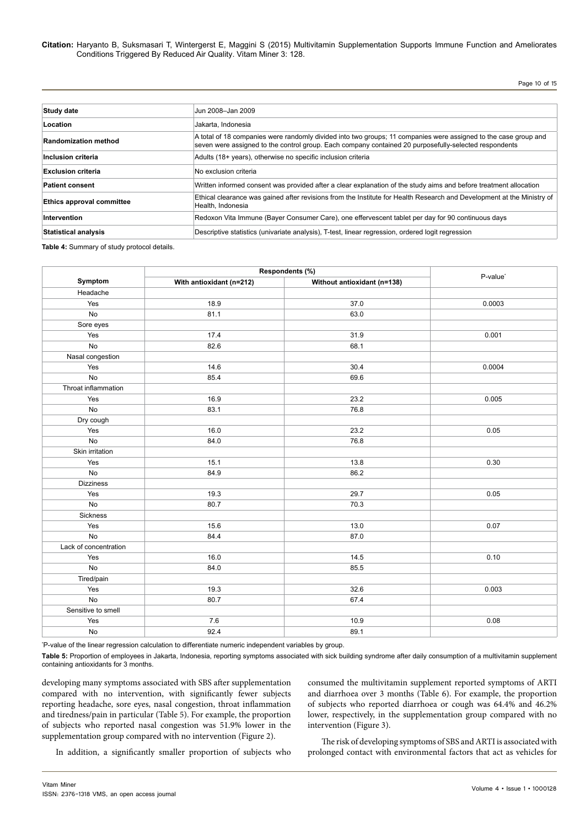Page 10 of 15

| <b>Study date</b>           | Jun 2008-Jan 2009                                                                                                                                                                                                        |  |
|-----------------------------|--------------------------------------------------------------------------------------------------------------------------------------------------------------------------------------------------------------------------|--|
| Location                    | Jakarta, Indonesia                                                                                                                                                                                                       |  |
| <b>Randomization method</b> | A total of 18 companies were randomly divided into two groups; 11 companies were assigned to the case group and<br>seven were assigned to the control group. Each company contained 20 purposefully-selected respondents |  |
| Inclusion criteria          | Adults (18+ years), otherwise no specific inclusion criteria                                                                                                                                                             |  |
| <b>Exclusion criteria</b>   | No exclusion criteria                                                                                                                                                                                                    |  |
| <b>Patient consent</b>      | Written informed consent was provided after a clear explanation of the study aims and before treatment allocation                                                                                                        |  |
| Ethics approval committee   | Ethical clearance was gained after revisions from the Institute for Health Research and Development at the Ministry of<br>Health, Indonesia                                                                              |  |
| Intervention                | Redoxon Vita Immune (Bayer Consumer Care), one effervescent tablet per day for 90 continuous days                                                                                                                        |  |
| <b>Statistical analysis</b> | Descriptive statistics (univariate analysis), T-test, linear regression, ordered logit regression                                                                                                                        |  |

**Table 4:** Summary of study protocol details.

|                       | Respondents (%)          |                             |                      |
|-----------------------|--------------------------|-----------------------------|----------------------|
| Symptom               | With antioxidant (n=212) | Without antioxidant (n=138) | P-value <sup>*</sup> |
| Headache              |                          |                             |                      |
| Yes                   | 18.9                     | 37.0                        | 0.0003               |
| No                    | 81.1                     | 63.0                        |                      |
| Sore eyes             |                          |                             |                      |
| Yes                   | 17.4                     | 31.9                        | 0.001                |
| No                    | 82.6                     | 68.1                        |                      |
| Nasal congestion      |                          |                             |                      |
| Yes                   | 14.6                     | 30.4                        | 0.0004               |
| <b>No</b>             | 85.4                     | 69.6                        |                      |
| Throat inflammation   |                          |                             |                      |
| Yes                   | 16.9                     | 23.2                        | 0.005                |
| $\mathsf{No}$         | 83.1                     | 76.8                        |                      |
| Dry cough             |                          |                             |                      |
| Yes                   | 16.0                     | 23.2                        | 0.05                 |
| No                    | 84.0                     | 76.8                        |                      |
| Skin irritation       |                          |                             |                      |
| Yes                   | 15.1                     | 13.8                        | 0.30                 |
| No                    | 84.9                     | 86.2                        |                      |
| <b>Dizziness</b>      |                          |                             |                      |
| Yes                   | 19.3                     | 29.7                        | 0.05                 |
| No                    | 80.7                     | 70.3                        |                      |
| Sickness              |                          |                             |                      |
| Yes                   | 15.6                     | 13.0                        | 0.07                 |
| No                    | 84.4                     | 87.0                        |                      |
| Lack of concentration |                          |                             |                      |
| Yes                   | 16.0                     | 14.5                        | 0.10                 |
| No                    | 84.0                     | 85.5                        |                      |
| Tired/pain            |                          |                             |                      |
| Yes                   | 19.3                     | 32.6                        | 0.003                |
| No                    | 80.7                     | 67.4                        |                      |
| Sensitive to smell    |                          |                             |                      |
| Yes                   | 7.6                      | 10.9                        | 0.08                 |
| $\mathsf{No}$         | 92.4                     | 89.1                        |                      |

\* P-value of the linear regression calculation to differentiate numeric independent variables by group.

**Table 5:** Proportion of employees in Jakarta, Indonesia, reporting symptoms associated with sick building syndrome after daily consumption of a multivitamin supplement containing antioxidants for 3 months.

developing many symptoms associated with SBS after supplementation compared with no intervention, with significantly fewer subjects reporting headache, sore eyes, nasal congestion, throat inflammation and tiredness/pain in particular (Table 5). For example, the proportion of subjects who reported nasal congestion was 51.9% lower in the supplementation group compared with no intervention (Figure 2).

consumed the multivitamin supplement reported symptoms of ARTI and diarrhoea over 3 months (Table 6). For example, the proportion of subjects who reported diarrhoea or cough was 64.4% and 46.2% lower, respectively, in the supplementation group compared with no intervention (Figure 3).

In addition, a significantly smaller proportion of subjects who

The risk of developing symptoms of SBS and ARTI is associated with prolonged contact with environmental factors that act as vehicles for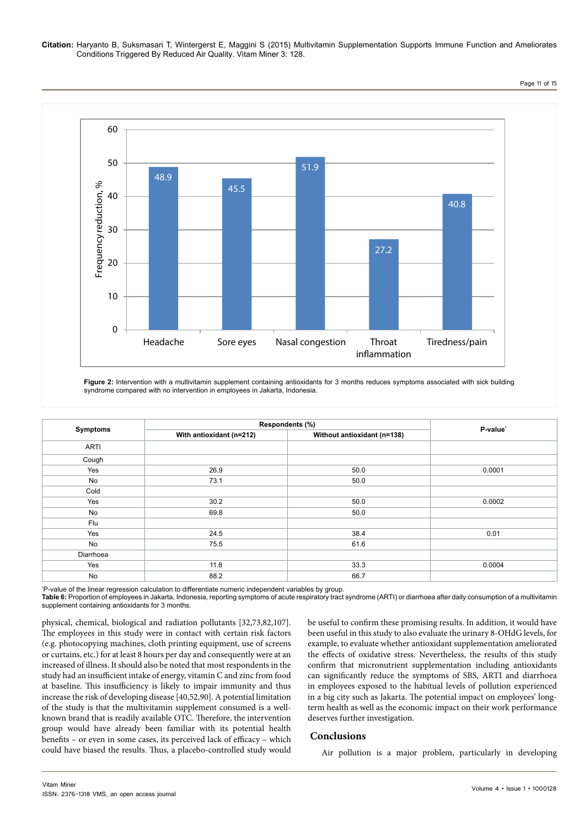Page 11 of 15



**Figure 2:** Intervention with a multivitamin supplement containing antioxidants for 3 months reduces symptoms associated with sick building syndrome compared with no intervention in employees in Jakarta, Indonesia.

|             | Respondents (%)          |                             |          |
|-------------|--------------------------|-----------------------------|----------|
| Symptoms    | With antioxidant (n=212) | Without antioxidant (n=138) | P-value* |
| <b>ARTI</b> |                          |                             |          |
| Cough       |                          |                             |          |
| Yes         | 26.9                     | 50.0                        | 0.0001   |
| No          | 73.1                     | 50.0                        |          |
| Cold        |                          |                             |          |
| Yes         | 30.2                     | 50.0                        | 0.0002   |
| No          | 69.8                     | 50.0                        |          |
| Flu         |                          |                             |          |
| Yes         | 24.5                     | 38.4                        | 0.01     |
| No          | 75.5                     | 61.6                        |          |
| Diarrhoea   |                          |                             |          |
| Yes         | 11.8                     | 33.3                        | 0.0004   |
| No          | 88.2                     | 66.7                        |          |

\* P-value of the linear regression calculation to differentiate numeric independent variables by group.

**Table 6:** Proportion of employees in Jakarta, Indonesia, reporting symptoms of acute respiratory tract syndrome (ARTI) or diarrhoea after daily consumption of a multivitamin supplement containing antioxidants for 3 months.

physical, chemical, biological and radiation pollutants [32,73,82,107]. The employees in this study were in contact with certain risk factors (e.g. photocopying machines, cloth printing equipment, use of screens or curtains, etc.) for at least 8 hours per day and consequently were at an increased of illness. It should also be noted that most respondents in the study had an insufficient intake of energy, vitamin C and zinc from food at baseline. This insufficiency is likely to impair immunity and thus increase the risk of developing disease [40,52,90]. A potential limitation of the study is that the multivitamin supplement consumed is a wellknown brand that is readily available OTC. Therefore, the intervention group would have already been familiar with its potential health benefits – or even in some cases, its perceived lack of efficacy – which could have biased the results. Thus, a placebo-controlled study would be useful to confirm these promising results. In addition, it would have been useful in this study to also evaluate the urinary 8-OHdG levels, for example, to evaluate whether antioxidant supplementation ameliorated the effects of oxidative stress. Nevertheless, the results of this study confirm that micronutrient supplementation including antioxidants can significantly reduce the symptoms of SBS, ARTI and diarrhoea in employees exposed to the habitual levels of pollution experienced in a big city such as Jakarta. The potential impact on employees' longterm health as well as the economic impact on their work performance deserves further investigation.

## **Conclusions**

Air pollution is a major problem, particularly in developing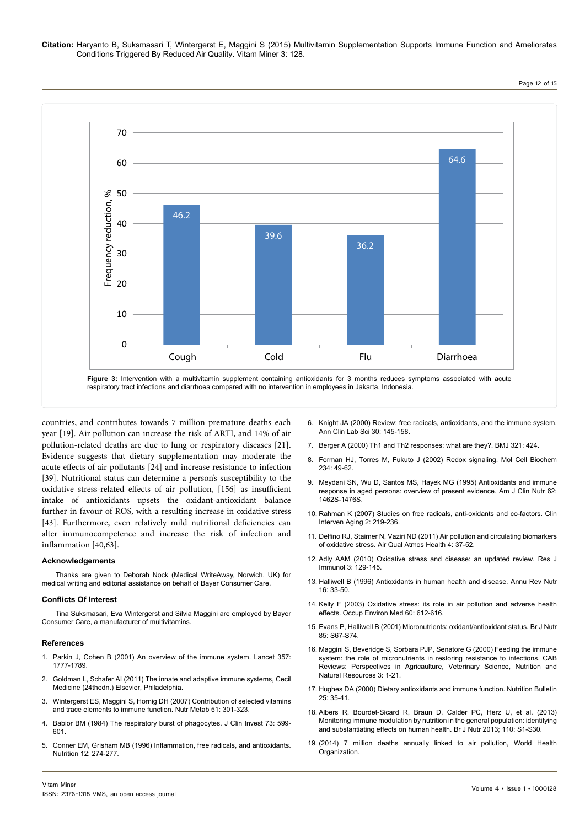Page 12 of 15



countries, and contributes towards 7 million premature deaths each year [19]. Air pollution can increase the risk of ARTI, and 14% of air pollution-related deaths are due to lung or respiratory diseases [21]. Evidence suggests that dietary supplementation may moderate the acute effects of air pollutants [24] and increase resistance to infection [39]. Nutritional status can determine a person's susceptibility to the oxidative stress-related effects of air pollution, [156] as insufficient intake of antioxidants upsets the oxidant-antioxidant balance further in favour of ROS, with a resulting increase in oxidative stress [43]. Furthermore, even relatively mild nutritional deficiencies can alter immunocompetence and increase the risk of infection and inflammation [40,63].

#### **Acknowledgements**

Thanks are given to Deborah Nock (Medical WriteAway, Norwich, UK) for medical writing and editorial assistance on behalf of Bayer Consumer Care.

#### **Conflicts Of Interest**

Tina Suksmasari, Eva Wintergerst and Silvia Maggini are employed by Bayer Consumer Care, a manufacturer of multivitamins.

#### **References**

- 1. [Parkin J, Cohen B \(2001\) An overview of the immune system. Lancet 357:](http://www.ncbi.nlm.nih.gov/pubmed/11403834) [1777-1789.](http://www.ncbi.nlm.nih.gov/pubmed/11403834)
- 2. [Goldman L, Schafer AI \(2011\) The innate and adaptive immune systems, Cecil](http://www.us.elsevierhealth.com/media/us/samplechapters/9781437716047/Sample Chapters and Table of Contents.pdf) [Medicine \(24thedn.\) Elsevier, Philadelphia.](http://www.us.elsevierhealth.com/media/us/samplechapters/9781437716047/Sample Chapters and Table of Contents.pdf)
- 3. [Wintergerst ES, Maggini S, Hornig DH \(2007\) Contribution of selected vitamins](http://www.ncbi.nlm.nih.gov/pubmed/17726308) [and trace elements to immune function. Nutr Metab 51: 301-323.](http://www.ncbi.nlm.nih.gov/pubmed/17726308)
- 4. [Babior BM \(1984\) The respiratory burst of phagocytes. J Clin Invest 73: 599-](http://www.ncbi.nlm.nih.gov/pmc/articles/PMC425058/) [601.](http://www.ncbi.nlm.nih.gov/pmc/articles/PMC425058/)
- 5. [Conner EM, Grisham MB \(1996\) Inflammation, free radicals, and antioxidants.](http://www.ncbi.nlm.nih.gov/pubmed/8862535) [Nutrition 12: 274-277.](http://www.ncbi.nlm.nih.gov/pubmed/8862535)
- 6. [Knight JA \(2000\) Review: free radicals, antioxidants, and the immune system.](http://www.ncbi.nlm.nih.gov/pubmed/10807157) [Ann Clin Lab Sci 30: 145-158.](http://www.ncbi.nlm.nih.gov/pubmed/10807157)
- 7. [Berger A \(2000\) Th1 and Th2 responses: what are they?. BMJ 321: 424.](http://www.bmj.com/content/321/7258/424.1)
- 8. [Forman HJ, Torres M, Fukuto J \(2002\) Redox signaling. Mol Cell Biochem](http://www.ncbi.nlm.nih.gov/pubmed/12162460) [234: 49-62.](http://www.ncbi.nlm.nih.gov/pubmed/12162460)
- 9. [Meydani SN, Wu D, Santos MS, Hayek MG \(1995\) Antioxidants and immune](http://www.ncbi.nlm.nih.gov/pubmed/7495247) [response in aged persons: overview of present evidence. Am J Clin Nutr 62:](http://www.ncbi.nlm.nih.gov/pubmed/7495247) [1462S-1476S.](http://www.ncbi.nlm.nih.gov/pubmed/7495247)
- 10. [Rahman K \(2007\) Studies on free radicals, anti-oxidants and co-factors. Clin](http://www.ncbi.nlm.nih.gov/pmc/articles/PMC2684512/) [Interven Aging 2: 219-236.](http://www.ncbi.nlm.nih.gov/pmc/articles/PMC2684512/)
- 11. [Delfino RJ, Staimer N, Vaziri ND \(2011\) Air pollution and circulating biomarkers](http://www.ncbi.nlm.nih.gov/pubmed/23626660)  [of oxidative stress. Air Qual Atmos Health 4: 37-52.](http://www.ncbi.nlm.nih.gov/pubmed/23626660)
- 12. Adly AAM (2010) Oxidative stress and disease: an updated review. Res J Immunol 3: 129-145.
- 13. [Halliwell B \(1996\) Antioxidants in human health and disease. Annu Rev Nutr](http://www.ncbi.nlm.nih.gov/pubmed/8839918) [16: 33-50.](http://www.ncbi.nlm.nih.gov/pubmed/8839918)
- 14. [Kelly F \(2003\) Oxidative stress: its role in air pollution and adverse health](http://www.ncbi.nlm.nih.gov/pmc/articles/PMC1740593/) [effects. Occup Environ Med 60: 612-616.](http://www.ncbi.nlm.nih.gov/pmc/articles/PMC1740593/)
- 15. [Evans P, Halliwell B \(2001\) Micronutrients: oxidant/antioxidant status. Br J Nutr](http://www.ncbi.nlm.nih.gov/pubmed/11509092)  [85: S67-S74.](http://www.ncbi.nlm.nih.gov/pubmed/11509092)
- 16. [Maggini S, Beveridge S, Sorbara PJP, Senatore G \(2000\) Feeding the immune](https://www.deepdyve.com/lp/centre-for-agricultural-bioscience-international/feeding-the-immune-system-the-role-of-micronutrients-in-restoring-e4jaVFsOqi)  [system: the role of micronutrients in restoring resistance to infections. CAB](https://www.deepdyve.com/lp/centre-for-agricultural-bioscience-international/feeding-the-immune-system-the-role-of-micronutrients-in-restoring-e4jaVFsOqi) [Reviews: Perspectives in Agricaulture, Veterinary Science, Nutrition and](https://www.deepdyve.com/lp/centre-for-agricultural-bioscience-international/feeding-the-immune-system-the-role-of-micronutrients-in-restoring-e4jaVFsOqi) [Natural Resources 3: 1-21.](https://www.deepdyve.com/lp/centre-for-agricultural-bioscience-international/feeding-the-immune-system-the-role-of-micronutrients-in-restoring-e4jaVFsOqi)
- 17. [Hughes DA \(2000\) Dietary antioxidants and immune function. Nutrition Bulletin](http://onlinelibrary.wiley.com/doi/10.1046/j.1467-3010.2000.00016.x/abstract)  [25: 35-41.](http://onlinelibrary.wiley.com/doi/10.1046/j.1467-3010.2000.00016.x/abstract)
- 18. Albers R, Bourdet-Sicard R, Braun D, Calder PC, Herz U, et al. (2013) Monitoring immune modulation by nutrition in the general population: identifying and substantiating effects on human health. Br J Nutr 2013; 110: S1-S30.
- 19. [\(2014\) 7 million deaths annually linked to air pollution, World Health](http://www.who.int/mediacentre/news/releases/2014/air-pollution/en/) [Organization.](http://www.who.int/mediacentre/news/releases/2014/air-pollution/en/)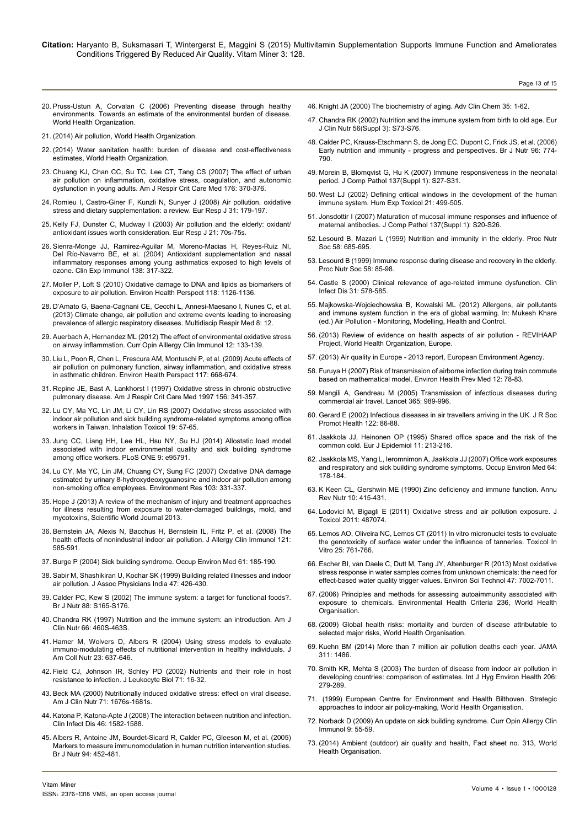- 20. [Pruss-Ustun A, Corvalan C \(2006\) Preventing disease through healthy](http://www.who.int/quantifying_ehimpacts/publications/preventingdisease.pdf) [environments. Towards an estimate of the environmental burden of disease.](http://www.who.int/quantifying_ehimpacts/publications/preventingdisease.pdf) [World Health Organization.](http://www.who.int/quantifying_ehimpacts/publications/preventingdisease.pdf)
- 21. [\(2014\) Air pollution, World Health Organization.](http://www.who.int/topics/air_pollution/en/)
- 22. [\(2014\) Water sanitation health: burden of disease and cost-effectiveness](http://www.who.int/water_sanitation_health/diseases/burden/en/) [estimates, World Health Organization.](http://www.who.int/water_sanitation_health/diseases/burden/en/)
- 23. [Chuang KJ, Chan CC, Su TC, Lee CT, Tang CS \(2007\) The effect of urban](http://www.ncbi.nlm.nih.gov/pubmed/17463411) [air pollution on inflammation, oxidative stress, coagulation, and autonomic](http://www.ncbi.nlm.nih.gov/pubmed/17463411) [dysfunction in young adults. Am J Respir Crit Care Med 176: 370-376.](http://www.ncbi.nlm.nih.gov/pubmed/17463411)
- 24. [Romieu I, Castro-Giner F, Kunzli N, Sunyer J \(2008\) Air pollution, oxidative](http://www.ncbi.nlm.nih.gov/pubmed/18166596) [stress and dietary supplementation: a review. Eur Resp J 31: 179-197.](http://www.ncbi.nlm.nih.gov/pubmed/18166596)
- 25. [Kelly FJ, Dunster C, Mudway I \(2003\) Air pollution and the elderly: oxidant/](http://www.ncbi.nlm.nih.gov/pubmed/12762578) [antioxidant issues worth consideration. Eur Resp J 21: 70s-75s.](http://www.ncbi.nlm.nih.gov/pubmed/12762578)
- 26. [Sienra-Monge JJ, Ramirez-Aguilar M, Moreno-Macias H, Reyes-Ruiz NI,](http://www.ncbi.nlm.nih.gov/pubmed/15498043) [Del Río-Navarro BE, et al. \(2004\) Antioxidant supplementation and nasal](http://www.ncbi.nlm.nih.gov/pubmed/15498043) [inflammatory responses among young asthmatics exposed to high levels of](http://www.ncbi.nlm.nih.gov/pubmed/15498043) [ozone. Clin Exp Immunol 138: 317-322.](http://www.ncbi.nlm.nih.gov/pubmed/15498043)
- 27. [Moller P, Loft S \(2010\) Oxidative damage to DNA and lipids as biomarkers of](http://www.ncbi.nlm.nih.gov/pmc/articles/PMC2920082/) [exposure to air pollution. Environ Health Perspect 118: 1126-1136.](http://www.ncbi.nlm.nih.gov/pmc/articles/PMC2920082/)
- 28. [D'Amato G, Baena-Cagnani CE, Cecchi L, Annesi-Maesano I, Nunes C, et al.](http://www.ncbi.nlm.nih.gov/pubmed/23398734) [\(2013\) Climate change, air pollution and extreme events leading to increasing](http://www.ncbi.nlm.nih.gov/pubmed/23398734) [prevalence of allergic respiratory diseases. Multidiscip Respir Med 8: 12.](http://www.ncbi.nlm.nih.gov/pubmed/23398734)
- 29. [Auerbach A, Hernandez ML \(2012\) The effect of environmental oxidative stress](http://www.ncbi.nlm.nih.gov/pubmed/22306553) [on airway inflammation. Curr Opin Alllergy Clin Immunol 12: 133-139.](http://www.ncbi.nlm.nih.gov/pubmed/22306553)
- 30. [Liu L, Poon R, Chen L, Frescura AM, Montuschi P, et al. \(2009\) Acute effects of](http://www.ncbi.nlm.nih.gov/pubmed/19440509) [air pollution on pulmonary function, airway inflammation, and oxidative stress](http://www.ncbi.nlm.nih.gov/pubmed/19440509) [in asthmatic children. Environ Health Perspect 117: 668-674.](http://www.ncbi.nlm.nih.gov/pubmed/19440509)
- 31. [Repine JE, Bast A, Lankhorst I \(1997\) Oxidative stress in chronic obstructive](http://www.atsjournals.org/doi/full/10.1164/ajrccm.156.2.9611013#.VUsBjvnvNSw) [pulmonary disease. Am J Respir Crit Care Med 1997 156: 341-357.](http://www.atsjournals.org/doi/full/10.1164/ajrccm.156.2.9611013#.VUsBjvnvNSw)
- 32. [Lu CY, Ma YC, Lin JM, Li CY, Lin RS \(2007\) Oxidative stress associated with](http://www.ncbi.nlm.nih.gov/pubmed/17127643) [indoor air pollution and sick building syndrome-related symptoms among office](http://www.ncbi.nlm.nih.gov/pubmed/17127643) [workers in Taiwan. Inhalation Toxicol 19: 57-65.](http://www.ncbi.nlm.nih.gov/pubmed/17127643)
- 33. [Jung CC, Liang HH, Lee HL, Hsu NY, Su HJ \(2014\) Allostatic load model](http://www.ncbi.nlm.nih.gov/pubmed/24759685) [associated with indoor environmental quality and sick building syndrome](http://www.ncbi.nlm.nih.gov/pubmed/24759685) [among office workers. PLoS ONE 9: e95791.](http://www.ncbi.nlm.nih.gov/pubmed/24759685)
- 34. [Lu CY, Ma YC, Lin JM, Chuang CY, Sung FC \(2007\) Oxidative DNA damage](http://www.ncbi.nlm.nih.gov/pubmed/17034784) [estimated by urinary 8-hydroxydeoxyguanosine and indoor air pollution among](http://www.ncbi.nlm.nih.gov/pubmed/17034784) [non-smoking office employees. Environment Res 103: 331-337.](http://www.ncbi.nlm.nih.gov/pubmed/17034784)
- 35. [Hope J \(2013\) A review of the mechanism of injury and treatment approaches](http://www.hindawi.com/journals/tswj/2013/767482/) [for illness resulting from exposure to water-damaged buildings, mold, and](http://www.hindawi.com/journals/tswj/2013/767482/) [mycotoxins, Scientific World Journal 2013.](http://www.hindawi.com/journals/tswj/2013/767482/)
- 36. [Bernstein JA, Alexis N, Bacchus H, Bernstein IL, Fritz P, et al. \(2008\) The](http://www.ncbi.nlm.nih.gov/pubmed/18155285) [health effects of nonindustrial indoor air pollution. J Allergy Clin Immunol 121:](http://www.ncbi.nlm.nih.gov/pubmed/18155285) [585-591.](http://www.ncbi.nlm.nih.gov/pubmed/18155285)
- 37. [Burge P \(2004\) Sick building syndrome. Occup Environ Med 61: 185-190.](http://www.ncbi.nlm.nih.gov/pmc/articles/PMC1740708/)
- 38. [Sabir M, Shashikiran U, Kochar SK \(1999\) Building related illnesses and indoor](http://www.ncbi.nlm.nih.gov/pubmed/10778530) [air pollution. J Assoc Physicians India 47: 426-430.](http://www.ncbi.nlm.nih.gov/pubmed/10778530)
- 39. [Calder PC, Kew S \(2002\) The immune system: a target for functional foods?.](http://www.ncbi.nlm.nih.gov/pubmed/12495459) [Br J Nutr 88: S165-S176.](http://www.ncbi.nlm.nih.gov/pubmed/12495459)
- 40. [Chandra RK \(1997\) Nutrition and the immune system: an introduction. Am J](http://www.ncbi.nlm.nih.gov/pubmed/9250133) [Clin Nutr 66: 460S-463S.](http://www.ncbi.nlm.nih.gov/pubmed/9250133)
- 41. [Hamer M, Wolvers D, Albers R \(2004\) Using stress models to evaluate](http://www.ncbi.nlm.nih.gov/pubmed/15637211) [immuno-modulating effects of nutritional intervention in healthy individuals. J](http://www.ncbi.nlm.nih.gov/pubmed/15637211) [Am Coll Nutr 23: 637-646.](http://www.ncbi.nlm.nih.gov/pubmed/15637211)
- 42. [Field CJ, Johnson IR, Schley PD \(2002\) Nutrients and their role in host](http://www.ncbi.nlm.nih.gov/pubmed/11781377) [resistance to infection. J Leukocyte Biol 71: 16-32.](http://www.ncbi.nlm.nih.gov/pubmed/11781377)
- 43. [Beck MA \(2000\) Nutritionally induced oxidative stress: effect on viral disease.](http://www.ncbi.nlm.nih.gov/pubmed/10837315) [Am J Clin Nutr 71: 1676s-1681s.](http://www.ncbi.nlm.nih.gov/pubmed/10837315)
- 44. [Katona P, Katona-Apte J \(2008\) The interaction between nutrition and infection.](http://www.ncbi.nlm.nih.gov/pubmed/18419494) [Clin Infect Dis 46: 1582-1588.](http://www.ncbi.nlm.nih.gov/pubmed/18419494)
- 45. [Albers R, Antoine JM, Bourdet-Sicard R, Calder PC, Gleeson M, et al. \(2005\)](http://www.ncbi.nlm.nih.gov/pubmed/16176618) [Markers to measure immunomodulation in human nutrition intervention studies.](http://www.ncbi.nlm.nih.gov/pubmed/16176618) [Br J Nutr 94: 452-481.](http://www.ncbi.nlm.nih.gov/pubmed/16176618)
- 46. [Knight JA \(2000\) The biochemistry of aging. Adv Clin Chem 35: 1-62.](http://www.ncbi.nlm.nih.gov/pubmed/11040957)
- 47. [Chandra RK \(2002\) Nutrition and the immune system from birth to old age. Eur](http://www.ncbi.nlm.nih.gov/pubmed/12142969)  [J Clin Nutr 56\(Suppl 3\): S73-S76.](http://www.ncbi.nlm.nih.gov/pubmed/12142969)
- 48. [Calder PC, Krauss-Etschmann S, de Jong EC, Dupont C, Frick JS, et al. \(2006\)](http://www.ncbi.nlm.nih.gov/pubmed/17010239)  [Early nutrition and immunity - progress and perspectives. Br J Nutr 96: 774-](http://www.ncbi.nlm.nih.gov/pubmed/17010239) [790.](http://www.ncbi.nlm.nih.gov/pubmed/17010239)
- 49. [Morein B, Blomqvist G, Hu K \(2007\) Immune responsiveness in the neonatal](http://www.ncbi.nlm.nih.gov/pubmed/17548093) [period. J Comp Pathol 137\(Suppl 1\): S27-S31.](http://www.ncbi.nlm.nih.gov/pubmed/17548093)
- 50. [West LJ \(2002\) Defining critical windows in the development of the human](http://www.ncbi.nlm.nih.gov/pubmed/12458907)  [immune system. Hum Exp Toxicol 21: 499-505.](http://www.ncbi.nlm.nih.gov/pubmed/12458907)
- 51. [Jonsdottir I \(2007\) Maturation of mucosal immune responses and influence of](http://www.ncbi.nlm.nih.gov/pubmed/17559864)  [maternal antibodies. J Comp Pathol 137\(Suppl 1\): S20-S26.](http://www.ncbi.nlm.nih.gov/pubmed/17559864)
- 52. [Lesourd B, Mazari L \(1999\) Nutrition and immunity in the elderly. Proc Nutr](http://www.ncbi.nlm.nih.gov/pubmed/10604204) [Soc 58: 685-695.](http://www.ncbi.nlm.nih.gov/pubmed/10604204)
- 53. [Lesourd B \(1999\) Immune response during disease and recovery in the elderly.](http://www.ncbi.nlm.nih.gov/pubmed/10343345)  [Proc Nutr Soc 58: 85-98.](http://www.ncbi.nlm.nih.gov/pubmed/10343345)
- 54. Castle S (2000) Clinical relevance of age-related immune dysfunction. Clin Infect Dis 31: 578-585.
- 55. [Majkowska-Wojciechowska B, Kowalski ML \(2012\) Allergens, air pollutants](http://www.intechopen.com/books/howtoreference/air-pollution-monitoring-modelling-health-and-control/allergens-air-pollutants-and-immune-system-function-in-the-era-of-global-warming-)  [and immune system function in the era of global warming. In: Mukesh Khare](http://www.intechopen.com/books/howtoreference/air-pollution-monitoring-modelling-health-and-control/allergens-air-pollutants-and-immune-system-function-in-the-era-of-global-warming-) [\(ed.\) Air Pollution - Monitoring, Modelling, Health and Control.](http://www.intechopen.com/books/howtoreference/air-pollution-monitoring-modelling-health-and-control/allergens-air-pollutants-and-immune-system-function-in-the-era-of-global-warming-)
- 56. [\(2013\) Review of evidence on health aspects of air pollution REVIHAAP](http://www.euro.who.int/en/health-topics/environment-and-health/air-quality/publications/2013/review-of-evidence-on-health-aspects-of-air-pollution-revihaap-project-final-technical-report) [Project, World Health Organization, Europe.](http://www.euro.who.int/en/health-topics/environment-and-health/air-quality/publications/2013/review-of-evidence-on-health-aspects-of-air-pollution-revihaap-project-final-technical-report)
- [\(2013\) Air quality in Europe 2013 report, European Environment Agency.](file:///D:/varun/Journals/Tushar%20Team/JHOA-Vol4.1/JHOA4.2_AI/Air quality in Europe  2013 report)
- 58. [Furuya H \(2007\) Risk of transmission of airborne infection during train commute](http://www.ncbi.nlm.nih.gov/pmc/articles/PMC2723643/)  [based on mathematical model. Environ Health Prev Med 12: 78-83.](http://www.ncbi.nlm.nih.gov/pmc/articles/PMC2723643/)
- 59. [Mangili A, Gendreau M \(2005\) Transmission of infectious diseases during](http://www.ncbi.nlm.nih.gov/pubmed/15767002) [commercial air travel. Lancet 365: 989-996.](http://www.ncbi.nlm.nih.gov/pubmed/15767002)
- 60. [Gerard E \(2002\) Infectious diseases in air travellers arriving in the UK. J R Soc](http://www.ncbi.nlm.nih.gov/pubmed/12134773)  Promot Health 122: 86-88
- 61. [Jaakkola JJ, Heinonen OP \(1995\) Shared office space and the risk of the](http://www.ncbi.nlm.nih.gov/pubmed/7672078)  [common cold. Eur J Epidemiol 11: 213-216.](http://www.ncbi.nlm.nih.gov/pubmed/7672078)
- 62. [Jaakkola MS, Yang L, Ieromnimon A, Jaakkola JJ \(2007\) Office work exposures](http://www.ncbi.nlm.nih.gov/pubmed/17339295)  [and respiratory and sick building syndrome symptoms. Occup Environ Med 64:](http://www.ncbi.nlm.nih.gov/pubmed/17339295)  [178-184.](http://www.ncbi.nlm.nih.gov/pubmed/17339295)
- 63. [K Keen CL, Gershwin ME \(1990\) Zinc deficiency and immune function. Annu](http://www.ncbi.nlm.nih.gov/pubmed/2200472)  [Rev Nutr 10: 415-431.](http://www.ncbi.nlm.nih.gov/pubmed/2200472)
- 64. [Lodovici M, Bigagli E \(2011\) Oxidative stress and air pollution exposure. J](http://www.ncbi.nlm.nih.gov/pubmed/21860622) [Toxicol 2011: 487074.](http://www.ncbi.nlm.nih.gov/pubmed/21860622)
- 65. [Lemos AO, Oliveira NC, Lemos CT \(2011\) In vitro micronuclei tests to evaluate](http://www.ncbi.nlm.nih.gov/pubmed/21238575)  [the genotoxicity of surface water under the influence of tanneries. Toxicol In](http://www.ncbi.nlm.nih.gov/pubmed/21238575)  [Vitro 25: 761-766.](http://www.ncbi.nlm.nih.gov/pubmed/21238575)
- 66. Escher BI, van Daele C, Dutt M, Tang JY, Altenburger R (2013) Most oxidative stress response in water samples comes from unknown chemicals: the need for effect-based water quality trigger values. Environ Sci Technol 47: 7002-7011.
- 67. [\(2006\) Principles and methods for assessing autoaimmunity associated with](http://www.inchem.org/documents/ehc/ehc/ehc236.pdf) [exposure to chemicals. Environmental Health Criteria 236, World Health](http://www.inchem.org/documents/ehc/ehc/ehc236.pdf) **Organisation**
- 68. [\(2009\) Global health risks: mortality and burden of disease attributable to](http://www.who.int/healthinfo/global_burden_disease/GlobalHealthRisks_report_full.pdf) [selected major risks, World Health Organisation.](http://www.who.int/healthinfo/global_burden_disease/GlobalHealthRisks_report_full.pdf)
- 69. [Kuehn BM \(2014\) More than 7 million air pollution deaths each year. JAMA](http://www.ncbi.nlm.nih.gov/pubmed/24737355) [311: 1486.](http://www.ncbi.nlm.nih.gov/pubmed/24737355)
- 70. [Smith KR, Mehta S \(2003\) The burden of disease from indoor air pollution in](http://www.ncbi.nlm.nih.gov/pubmed/12971683) [developing countries: comparison of estimates. Int J Hyg Environ Health 206:](http://www.ncbi.nlm.nih.gov/pubmed/12971683) [279-289.](http://www.ncbi.nlm.nih.gov/pubmed/12971683)
- 71. [\(1999\) European Centre for Environment and Health Bilthoven. Strategic](http://apps.who.int/iris/bitstream/10665/108169/1/E65523.pdf) [approaches to indoor air policy-making, World Health Organisation.](http://apps.who.int/iris/bitstream/10665/108169/1/E65523.pdf)
- 72. [Norback D \(2009\) An update on sick building syndrome. Curr Opin Allergy Clin](http://www.ncbi.nlm.nih.gov/pubmed/19532093)  [Immunol 9: 55-59.](http://www.ncbi.nlm.nih.gov/pubmed/19532093)
- 73. [\(2014\) Ambient \(outdoor\) air quality and health, Fact sheet no. 313, World](http://www.who.int/mediacentre/factsheets/fs313/en/) [Health Organisation.](http://www.who.int/mediacentre/factsheets/fs313/en/)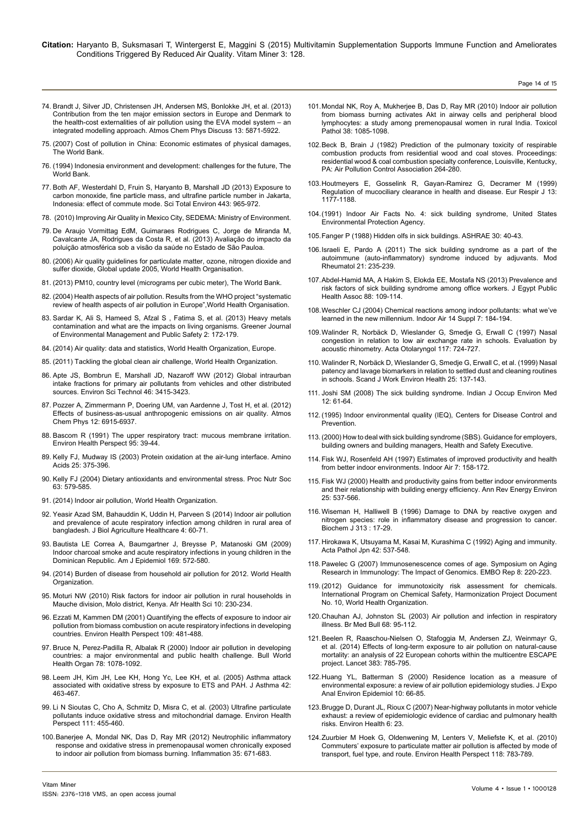- 74. [Brandt J, Silver JD, Christensen JH, Andersen MS, Bonlokke JH, et al. \(2013\)](http://www.atmos-chem-phys.net/13/7725/2013/acp-13-7725-2013.pdf) [Contribution from the ten major emission sectors in Europe and Denmark to](http://www.atmos-chem-phys.net/13/7725/2013/acp-13-7725-2013.pdf) [the health-cost externalities of air pollution using the EVA model system – an](http://www.atmos-chem-phys.net/13/7725/2013/acp-13-7725-2013.pdf) [integrated modelling approach. Atmos Chem Phys Discuss 13: 5871-5922.](http://www.atmos-chem-phys.net/13/7725/2013/acp-13-7725-2013.pdf)
- 75. [\(2007\) Cost of pollution in China: Economic estimates of physical damages,](http://siteresources.worldbank.org/INTEAPREGTOPENVIRONMENT/Resources/China_Cost_of_Pollution.pdf) [The World Bank.](http://siteresources.worldbank.org/INTEAPREGTOPENVIRONMENT/Resources/China_Cost_of_Pollution.pdf)
- 76. [\(1994\) Indonesia environment and development: challenges for the future, The](http://www-wds.worldbank.org/external/default/WDSContentServer/WDSP/IB/1994/03/21/000009265_3961005043726/Rendered/PDF/multi0page.pdf) [World Bank.](http://www-wds.worldbank.org/external/default/WDSContentServer/WDSP/IB/1994/03/21/000009265_3961005043726/Rendered/PDF/multi0page.pdf)
- 77. [Both AF, Westerdahl D, Fruin S, Haryanto B, Marshall JD \(2013\) Exposure to](http://www.ncbi.nlm.nih.gov/pubmed/23314255) [carbon monoxide, fine particle mass, and ultrafine particle number in Jakarta,](http://www.ncbi.nlm.nih.gov/pubmed/23314255) [Indonesia: effect of commute mode. Sci Total Environ 443: 965-972.](http://www.ncbi.nlm.nih.gov/pubmed/23314255)
- 78. [\(2010\) Improving Air Quality in Mexico City, SEDEMA: Ministry of Environment.](http://urbanizationproject.org/blog/improving-air-quality-in-mexico-city#.VUxjL_nvNSw)
- 79. [De Araujo Vormittag EdM, Guimaraes Rodrigues C, Jorge de Miranda M,](http://www.saudeesustentabilidade.org.br/site/wp-content/uploads/2013/09/Documentofinaldapesquisapadrao_2409-FINAL-sitev1.pdf) [Cavalcante JA, Rodrigues da Costa R, et al. \(2013\) Avaliação do impacto da](http://www.saudeesustentabilidade.org.br/site/wp-content/uploads/2013/09/Documentofinaldapesquisapadrao_2409-FINAL-sitev1.pdf) [poluição atmosférica sob a visão da saúde no Estado de São Pauloa.](http://www.saudeesustentabilidade.org.br/site/wp-content/uploads/2013/09/Documentofinaldapesquisapadrao_2409-FINAL-sitev1.pdf)
- 80. [\(2006\) Air quality guidelines for particulate matter, ozone, nitrogen dioxide and](http://www.euro.who.int/__data/assets/pdf_file/0005/78638/E90038.pdf) [sulfer dioxide, Global update 2005, World Health Organisation.](http://www.euro.who.int/__data/assets/pdf_file/0005/78638/E90038.pdf)
- 81. [\(2013\) PM10, country level \(micrograms per cubic meter\), The World Bank.](http://data.worldbank.org/indicator/EN.ATM.PM10.MC.M3/)
- 82. [\(2004\) Health aspects of air pollution. Results from the WHO project "systematic](http://www.euro.who.int/en/health-topics/environment-and-health/air-quality/publications/pre2009/health-aspects-of-air-pollution-results-from-the-who-project-systematic-review-of-health-aspects-of-air-pollution-in-europe) [review of health aspects of air pollution in Europe",World Health Organisation.](http://www.euro.who.int/en/health-topics/environment-and-health/air-quality/publications/pre2009/health-aspects-of-air-pollution-results-from-the-who-project-systematic-review-of-health-aspects-of-air-pollution-in-europe)
- 83. [Sardar K, Ali S, Hameed S, Afzal S , Fatima S, et al. \(2013\) Heavy metals](http://www.gjournals.org/GJEMPS/GJEMPS PDF/2013/August/060413652 Kamran et al.pdf) [contamination and what are the impacts on living organisms. Greener Journal](http://www.gjournals.org/GJEMPS/GJEMPS PDF/2013/August/060413652 Kamran et al.pdf) [of Environmental Management and Public Safety 2: 172-179.](http://www.gjournals.org/GJEMPS/GJEMPS PDF/2013/August/060413652 Kamran et al.pdf)
- 84. [\(2014\) Air quality: data and statistics, World Health Organization, Europe.](http://www.euro.who.int/en/health-topics/environment-and-health/air-quality/data-and-statistics)
- 85. [\(2011\) Tackling the global clean air challenge, World Health Organization.](http://www.who.int/mediacentre/news/releases/2011/air_pollution_20110926/en/)
- 86. [Apte JS, Bombrun E, Marshall JD, Nazaroff WW \(2012\) Global intraurban](http://www.ncbi.nlm.nih.gov/pubmed/22332712) [intake fractions for primary air pollutants from vehicles and other distributed](http://www.ncbi.nlm.nih.gov/pubmed/22332712) [sources. Environ Sci Technol 46: 3415-3423.](http://www.ncbi.nlm.nih.gov/pubmed/22332712)
- 87. [Pozzer A, Zimmermann P, Doering UM, van Aardenne J, Tost H, et al. \(2012\)](http://www.atmos-chem-phys.net/12/6915/2012/acp-12-6915-2012.html) [Effects of business-as-usual anthropogenic emissions on air quality. Atmos](http://www.atmos-chem-phys.net/12/6915/2012/acp-12-6915-2012.html) [Chem Phys 12: 6915-6937.](http://www.atmos-chem-phys.net/12/6915/2012/acp-12-6915-2012.html)
- 88. [Bascom R \(1991\) The upper respiratory tract: mucous membrane irritation.](http://www.ncbi.nlm.nih.gov/pubmed/1821376) [Environ Health Perspect 95: 39-44.](http://www.ncbi.nlm.nih.gov/pubmed/1821376)
- 89. [Kelly FJ, Mudway IS \(2003\) Protein oxidation at the air-lung interface. Amino](http://www.ncbi.nlm.nih.gov/pubmed/14661098) [Acids 25: 375-396.](http://www.ncbi.nlm.nih.gov/pubmed/14661098)
- 90. [Kelly FJ \(2004\) Dietary antioxidants and environmental stress. Proc Nutr Soc](http://www.ncbi.nlm.nih.gov/pubmed/15831130) [63: 579-585.](http://www.ncbi.nlm.nih.gov/pubmed/15831130)
- 91. [\(2014\) Indoor air pollution, World Health Organization.](http://www.who.int/indoorair/en/)
- 92. [Yeasir Azad SM, Bahauddin K, Uddin H, Parveen S \(2014\) Indoor air pollution](http://www.iiste.org/Journals/index.php/JBAH/article/view/10569) [and prevalence of acute respiratory infection among children in rural area of](http://www.iiste.org/Journals/index.php/JBAH/article/view/10569) [bangladesh. J Biol Agriculture Healthcare 4: 60-71.](http://www.iiste.org/Journals/index.php/JBAH/article/view/10569)
- 93. [Bautista LE Correa A, Baumgartner J, Breysse P, Matanoski GM \(2009\)](http://www.ncbi.nlm.nih.gov/pubmed/19126589) [Indoor charcoal smoke and acute respiratory infections in young children in the](http://www.ncbi.nlm.nih.gov/pubmed/19126589) [Dominican Republic. Am J Epidemiol 169: 572-580.](http://www.ncbi.nlm.nih.gov/pubmed/19126589)
- 94. [\(2014\) Burden of disease from household air pollution for 2012. World Health](http://www.who.int/phe/health_topics/outdoorair/databases/HAP_BoD_results_March2014.pdf) [Organization.](http://www.who.int/phe/health_topics/outdoorair/databases/HAP_BoD_results_March2014.pdf)
- 95. [Moturi NW \(2010\) Risk factors for indoor air pollution in rural households in](http://www.ncbi.nlm.nih.gov/pubmed/21327133) [Mauche division, Molo district, Kenya. Afr Health Sci 10: 230-234.](http://www.ncbi.nlm.nih.gov/pubmed/21327133)
- 96. [Ezzati M, Kammen DM \(2001\) Quantifying the effects of exposure to indoor air](http://www.ncbi.nlm.nih.gov/pubmed/11401759) [pollution from biomass combustion on acute respiratory infections in developing](http://www.ncbi.nlm.nih.gov/pubmed/11401759) [countries. Environ Health Perspect 109: 481-488.](http://www.ncbi.nlm.nih.gov/pubmed/11401759)
- 97. [Bruce N, Perez-Padilla R, Albalak R \(2000\) Indoor air pollution in developing](http://www.ncbi.nlm.nih.gov/pubmed/11019457) [countries: a major environmental and public health challenge. Bull World](http://www.ncbi.nlm.nih.gov/pubmed/11019457) [Health Organ 78: 1078-1092.](http://www.ncbi.nlm.nih.gov/pubmed/11019457)
- 98. [Leem JH, Kim JH, Lee KH, Hong Yc, Lee KH, et al. \(2005\) Asthma attack](http://www.ncbi.nlm.nih.gov/pubmed/16293541) [associated with oxidative stress by exposure to ETS and PAH. J Asthma 42:](http://www.ncbi.nlm.nih.gov/pubmed/16293541) [463-467.](http://www.ncbi.nlm.nih.gov/pubmed/16293541)
- 99. [Li N Sioutas C, Cho A, Schmitz D, Misra C, et al. \(2003\) Ultrafine particulate](http://www.ncbi.nlm.nih.gov/pubmed/12676598) [pollutants induce oxidative stress and mitochondrial damage. Environ Health](http://www.ncbi.nlm.nih.gov/pubmed/12676598) [Perspect 111: 455-460.](http://www.ncbi.nlm.nih.gov/pubmed/12676598)
- 100.[Banerjee A, Mondal NK, Das D, Ray MR \(2012\) Neutrophilic inflammatory](http://www.ncbi.nlm.nih.gov/pubmed/21769440) [response and oxidative stress in premenopausal women chronically exposed](http://www.ncbi.nlm.nih.gov/pubmed/21769440) [to indoor air pollution from biomass burning. Inflammation 35: 671-683.](http://www.ncbi.nlm.nih.gov/pubmed/21769440)

101.[Mondal NK, Roy A, Mukherjee B, Das D, Ray MR \(2010\) Indoor air pollution](http://www.ncbi.nlm.nih.gov/pubmed/20924080)  [from biomass burning activates Akt in airway cells and peripheral blood](http://www.ncbi.nlm.nih.gov/pubmed/20924080) [lymphocytes: a study among premenopausal women in rural India. Toxicol](http://www.ncbi.nlm.nih.gov/pubmed/20924080) [Pathol 38: 1085-1098.](http://www.ncbi.nlm.nih.gov/pubmed/20924080)

Page 14 of 15

- 102.[Beck B, Brain J \(1982\) Prediction of the pulmonary toxicity of respirable](http://www.gbv.de/dms/tib-ub-hannover/017599210.pdf) [combustion products from residential wood and coal stoves. Proceedings:](http://www.gbv.de/dms/tib-ub-hannover/017599210.pdf) [residential wood & coal combustion specialty conference, Louisville, Kentucky,](http://www.gbv.de/dms/tib-ub-hannover/017599210.pdf)  [PA: Air Pollution Control Association 264-280.](http://www.gbv.de/dms/tib-ub-hannover/017599210.pdf)
- 103.[Houtmeyers E, Gosselink R, Gayan-Ramirez G, Decramer M \(1999\)](http://www.ncbi.nlm.nih.gov/pubmed/10414423) [Regulation of mucociliary clearance in health and disease. Eur Respir J 13:](http://www.ncbi.nlm.nih.gov/pubmed/10414423) [1177-1188.](http://www.ncbi.nlm.nih.gov/pubmed/10414423)
- 104.[\(1991\) Indoor Air Facts No. 4: sick building syndrome, United States](http://www.epa.gov/iaq/pdfs/sick_building_factsheet.pdf) [Environmental Protection Agency.](http://www.epa.gov/iaq/pdfs/sick_building_factsheet.pdf)
- 105.Fanger P (1988) Hidden olfs in sick buildings. ASHRAE 30: 40-43.
- 106.[Israeli E, Pardo A \(2011\) The sick building syndrome as a part of the](http://www.ncbi.nlm.nih.gov/pubmed/21188456) [autoimmune \(auto-inflammatory\) syndrome induced by adjuvants. Mod](http://www.ncbi.nlm.nih.gov/pubmed/21188456)  [Rheumatol 21: 235-239.](http://www.ncbi.nlm.nih.gov/pubmed/21188456)
- 107.[Abdel-Hamid MA, A Hakim S, Elokda EE, Mostafa NS \(2013\) Prevalence and](http://www.ncbi.nlm.nih.gov/pubmed/23963091)  [risk factors of sick building syndrome among office workers. J Egypt Public](http://www.ncbi.nlm.nih.gov/pubmed/23963091)  [Health Assoc 88: 109-114.](http://www.ncbi.nlm.nih.gov/pubmed/23963091)
- 108.[Weschler CJ \(2004\) Chemical reactions among indoor pollutants: what we've](http://www.ncbi.nlm.nih.gov/pubmed/15330786) [learned in the new millennium. Indoor Air 14 Suppl 7: 184-194.](http://www.ncbi.nlm.nih.gov/pubmed/15330786)
- 109.[Walinder R, Norbäck D, Wieslander G, Smedje G, Erwall C \(1997\) Nasal](http://www.ncbi.nlm.nih.gov/pubmed/9349870)  [congestion in relation to low air exchange rate in schools. Evaluation by](http://www.ncbi.nlm.nih.gov/pubmed/9349870) [acoustic rhinometry. Acta Otolaryngol 117: 724-727.](http://www.ncbi.nlm.nih.gov/pubmed/9349870)
- 110.[Walinder R, Norbäck D, Wieslander G, Smedje G, Erwall C, et al. \(1999\) Nasal](http://www.ncbi.nlm.nih.gov/pubmed/10360469)  [patency and lavage biomarkers in relation to settled dust and cleaning routines](http://www.ncbi.nlm.nih.gov/pubmed/10360469)  [in schools. Scand J Work Environ Health 25: 137-143.](http://www.ncbi.nlm.nih.gov/pubmed/10360469)
- 111. [Joshi SM \(2008\) The sick building syndrome. Indian J Occup Environ Med](http://www.ncbi.nlm.nih.gov/pubmed/20040980) [12: 61-64.](http://www.ncbi.nlm.nih.gov/pubmed/20040980)
- 112.[\(1995\) Indoor environmental quality \(IEQ\), Centers for Disease Control and](http://www.cdc.gov/niosh/topics/indoorenv/) **Prevention**
- 113.[\(2000\) How to deal with sick building syndrome \(SBS\). Guidance for employers,](http://www.hse.gov.uk/pubns/priced/hsg132.pdf)  [building owners and building managers, Health and Safety Executive.](http://www.hse.gov.uk/pubns/priced/hsg132.pdf)
- 114. [Fisk WJ, Rosenfeld AH \(1997\) Estimates of improved productivity and health](http://onlinelibrary.wiley.com/doi/10.1111/j.1600-0668.1997.t01-1-00002.x/abstract) [from better indoor environments. Indoor Air 7: 158-172.](http://onlinelibrary.wiley.com/doi/10.1111/j.1600-0668.1997.t01-1-00002.x/abstract)
- 115. [Fisk WJ \(2000\) Health and productivity gains from better indoor environments](http://taskair.com/knowledge/Health and Productivity Gains from Healthy Indoor Environments.pdf)  [and their relationship with building energy efficiency. Ann Rev Energy Environ](http://taskair.com/knowledge/Health and Productivity Gains from Healthy Indoor Environments.pdf)  [25: 537-566.](http://taskair.com/knowledge/Health and Productivity Gains from Healthy Indoor Environments.pdf)
- 116.[Wiseman H, Halliwell B \(1996\) Damage to DNA by reactive oxygen and](http://www.ncbi.nlm.nih.gov/pubmed/8546679) [nitrogen species: role in inflammatory disease and progression to cancer.](http://www.ncbi.nlm.nih.gov/pubmed/8546679)  [Biochem J 313 : 17-29.](http://www.ncbi.nlm.nih.gov/pubmed/8546679)
- 117. [Hirokawa K, Utsuyama M, Kasai M, Kurashima C \(1992\) Aging and immunity.](http://www.ncbi.nlm.nih.gov/pubmed/1449050)  [Acta Pathol Jpn 42: 537-548.](http://www.ncbi.nlm.nih.gov/pubmed/1449050)
- 118.[Pawelec G \(2007\) Immunosenescence comes of age. Symposium on Aging](http://www.ncbi.nlm.nih.gov/pubmed/17304236) [Research in Immunology: The Impact of Genomics. EMBO Rep 8: 220-223.](http://www.ncbi.nlm.nih.gov/pubmed/17304236)
- 119.[\(2012\) Guidance for immunotoxicity risk assessment for chemicals.](http://www.inchem.org/documents/harmproj/harmproj/harmproj10.pdf) [International Program on Chemical Safety, Harmonization Project Document](http://www.inchem.org/documents/harmproj/harmproj/harmproj10.pdf)  [No. 10, World Health Organization.](http://www.inchem.org/documents/harmproj/harmproj/harmproj10.pdf)
- 120.[Chauhan AJ, Johnston SL \(2003\) Air pollution and infection in respiratory](http://www.ncbi.nlm.nih.gov/pubmed/14757711) [illness. Br Med Bull 68: 95-112.](http://www.ncbi.nlm.nih.gov/pubmed/14757711)
- 121.[Beelen R, Raaschou-Nielsen O, Stafoggia M, Andersen ZJ, Weinmayr G,](http://www.ncbi.nlm.nih.gov/pubmed/24332274) [et al. \(2014\) Effects of long-term exposure to air pollution on natural-cause](http://www.ncbi.nlm.nih.gov/pubmed/24332274) [mortality: an analysis of 22 European cohorts within the multicentre ESCAPE](http://www.ncbi.nlm.nih.gov/pubmed/24332274) [project. Lancet 383: 785-795.](http://www.ncbi.nlm.nih.gov/pubmed/24332274)
- 122.[Huang YL, Batterman S \(2000\) Residence location as a measure of](http://www.ncbi.nlm.nih.gov/pubmed/10703849) [environmental exposure: a review of air pollution epidemiology studies. J Expo](http://www.ncbi.nlm.nih.gov/pubmed/10703849)  [Anal Environ Epidemiol 10: 66-85.](http://www.ncbi.nlm.nih.gov/pubmed/10703849)
- 123.[Brugge D, Durant JL, Rioux C \(2007\) Near-highway pollutants in motor vehicle](http://www.ncbi.nlm.nih.gov/pubmed/17688699)  [exhaust: a review of epidemiologic evidence of cardiac and pulmonary health](http://www.ncbi.nlm.nih.gov/pubmed/17688699) [risks. Environ Health 6: 23.](http://www.ncbi.nlm.nih.gov/pubmed/17688699)
- 124.Zuurbier M Hoek G, Oldenwening M, Lenters V, Meliefste K, et al. (2010) Commuters' exposure to particulate matter air pollution is affected by mode of transport, fuel type, and route. Environ Health Perspect 118: 783-789.